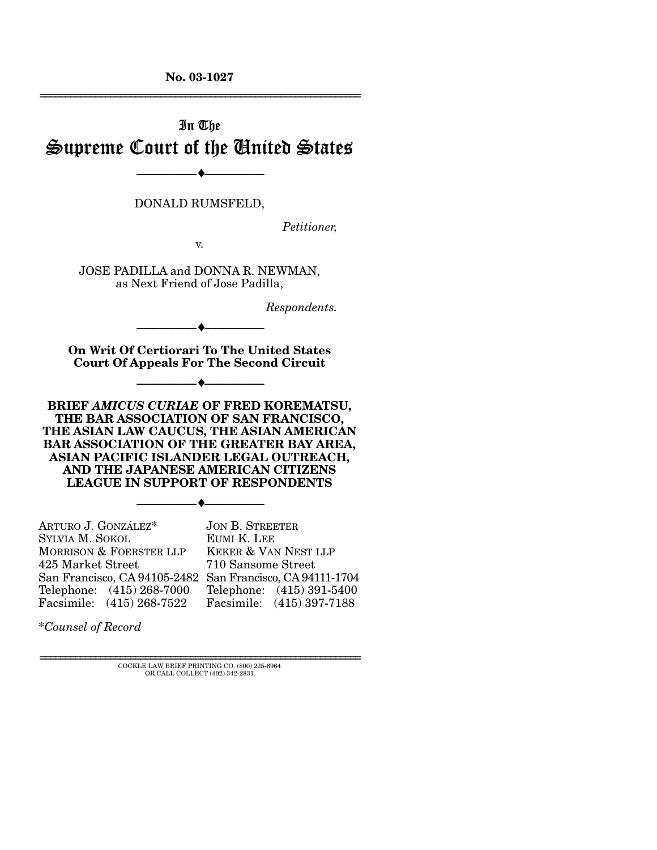**No. 03-1027**  ================================================================

# In The Supreme Court of the United States

--------------------------------- ♦ ---------------------------------

DONALD RUMSFELD,

*Petitioner,* 

v.

JOSE PADILLA and DONNA R. NEWMAN, as Next Friend of Jose Padilla,

*Respondents.* 

**On Writ Of Certiorari To The United States Court Of Appeals For The Second Circuit** 

--------------------------------- ♦ ---------------------------------

--------------------------------- ♦ ---------------------------------

**BRIEF** *AMICUS CURIAE* **OF FRED KOREMATSU, THE BAR ASSOCIATION OF SAN FRANCISCO, THE ASIAN LAW CAUCUS, THE ASIAN AMERICAN BAR ASSOCIATION OF THE GREATER BAY AREA, ASIAN PACIFIC ISLANDER LEGAL OUTREACH, AND THE JAPANESE AMERICAN CITIZENS LEAGUE IN SUPPORT OF RESPONDENTS** 

--------------------------------- ♦ ---------------------------------

ARTURO J. GONZÁLEZ\* SYLVIA M. SOKOL MORRISON & FOERSTER LLP 425 Market Street San Francisco, CA 94105-2482 San Francisco, CA 94111-1704 Telephone: (415) 268-7000 Facsimile: (415) 268-7522 JON B. STREETER EUMI K. LEE KEKER & VAN NEST LLP 710 Sansome Street Telephone: (415) 391-5400 Facsimile: (415) 397-7188

\**Counsel of Record*

 ${\rm COCKLE}$  LAW BRIEF PRINTING CO. (800) 225-6964 OR CALL COLLECT (402) 342-2831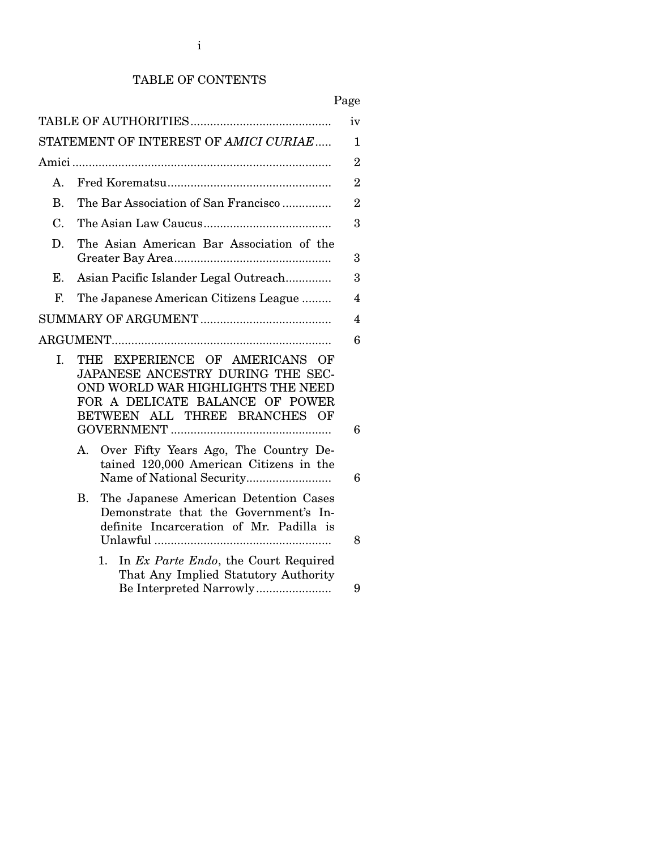## TABLE OF CONTENTS

## Page

|                |                                                                                                                                                                              | iv             |
|----------------|------------------------------------------------------------------------------------------------------------------------------------------------------------------------------|----------------|
|                | STATEMENT OF INTEREST OF AMICI CURIAE                                                                                                                                        | 1              |
|                |                                                                                                                                                                              | $\overline{2}$ |
| A.             |                                                                                                                                                                              | $\overline{2}$ |
| $\mathbf{B}$ . | The Bar Association of San Francisco                                                                                                                                         | $\overline{2}$ |
| $C_{\cdot}$    |                                                                                                                                                                              | 3              |
| D.             | The Asian American Bar Association of the                                                                                                                                    | 3              |
| E.             | Asian Pacific Islander Legal Outreach                                                                                                                                        | 3              |
| F.             | The Japanese American Citizens League                                                                                                                                        | 4              |
|                |                                                                                                                                                                              | 4              |
|                |                                                                                                                                                                              | 6              |
| I.             | THE EXPERIENCE OF AMERICANS OF<br>JAPANESE ANCESTRY DURING THE SEC-<br>OND WORLD WAR HIGHLIGHTS THE NEED<br>FOR A DELICATE BALANCE OF POWER<br>BETWEEN ALL THREE BRANCHES OF | 6              |
|                | Over Fifty Years Ago, The Country De-<br>A.<br>tained 120,000 American Citizens in the                                                                                       | 6              |
|                | The Japanese American Detention Cases<br>В.<br>Demonstrate that the Government's In-<br>definite Incarceration of Mr. Padilla is                                             | 8              |
|                | In Ex Parte Endo, the Court Required<br>1.<br>That Any Implied Statutory Authority                                                                                           | 9              |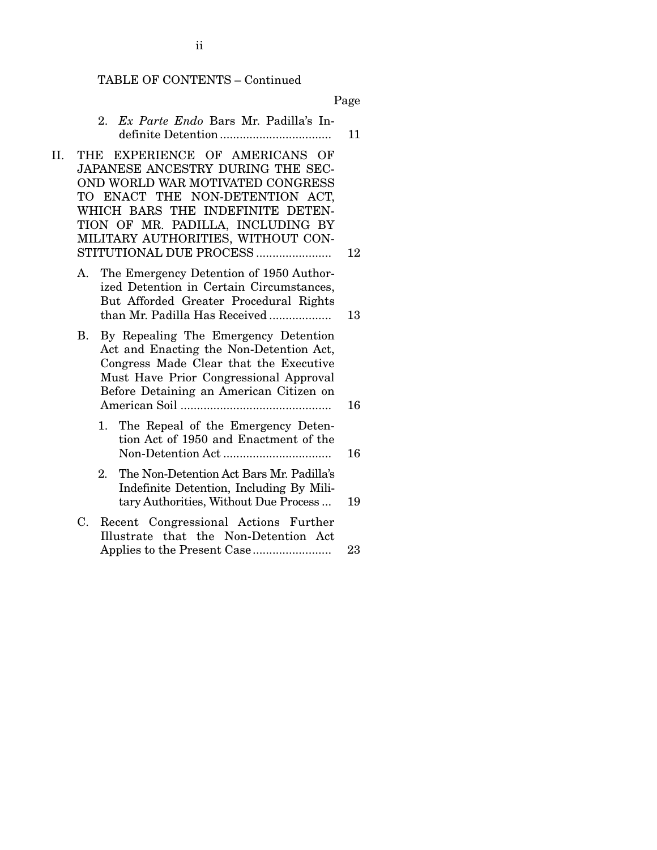#### TABLE OF CONTENTS – Continued

Page

- 2. *Ex Parte Endo* Bars Mr. Padilla's Indefinite Detention .................................. 11
- II. THE EXPERIENCE OF AMERICANS OF JAPANESE ANCESTRY DURING THE SEC-OND WORLD WAR MOTIVATED CONGRESS TO ENACT THE NON-DETENTION ACT, WHICH BARS THE INDEFINITE DETEN-TION OF MR. PADILLA, INCLUDING BY MILITARY AUTHORITIES, WITHOUT CON-STITUTIONAL DUE PROCESS ....................... 12
	- A. The Emergency Detention of 1950 Authorized Detention in Certain Circumstances, But Afforded Greater Procedural Rights than Mr. Padilla Has Received ................... 13
	- B. By Repealing The Emergency Detention Act and Enacting the Non-Detention Act, Congress Made Clear that the Executive Must Have Prior Congressional Approval Before Detaining an American Citizen on American Soil .............................................. 16
		- 1. The Repeal of the Emergency Detention Act of 1950 and Enactment of the Non-Detention Act ................................. 16
		- 2. The Non-Detention Act Bars Mr. Padilla's Indefinite Detention, Including By Military Authorities, Without Due Process ... 19
	- C. Recent Congressional Actions Further Illustrate that the Non-Detention Act Applies to the Present Case........................ 23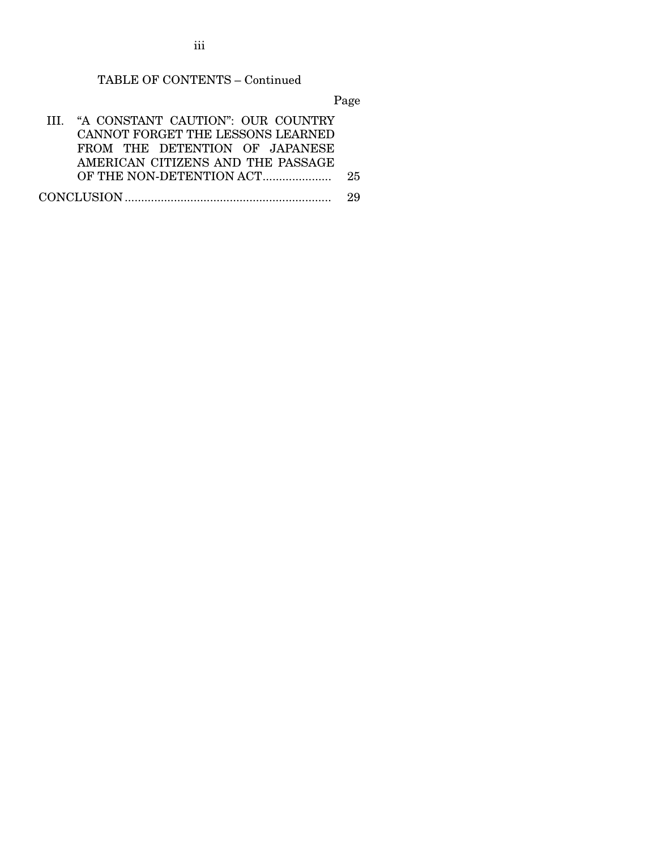iii

## TABLE OF CONTENTS – Continued

Page

| III. "A CONSTANT CAUTION": OUR COUNTRY |    |
|----------------------------------------|----|
| CANNOT FORGET THE LESSONS LEARNED      |    |
| FROM THE DETENTION OF JAPANESE         |    |
| AMERICAN CITIZENS AND THE PASSAGE      |    |
|                                        | 25 |
|                                        | 29 |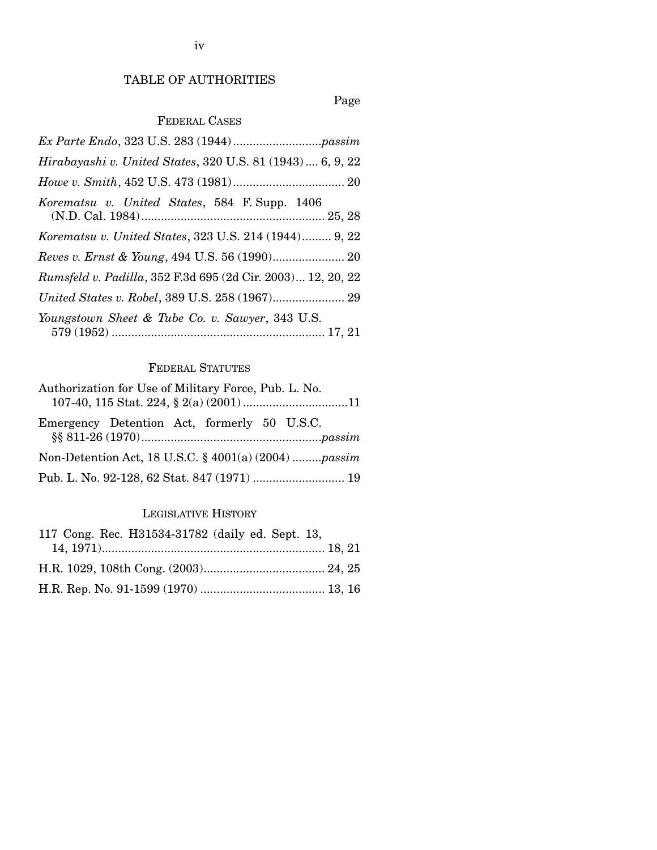## TABLE OF AUTHORITIES

## Page

## FEDERAL CASES

| Hirabayashi v. United States, 320 U.S. 81 (1943) 6, 9, 22   |  |  |
|-------------------------------------------------------------|--|--|
|                                                             |  |  |
| Korematsu v. United States, 584 F. Supp. 1406               |  |  |
| Korematsu v. United States, 323 U.S. 214 (1944) 9, 22       |  |  |
|                                                             |  |  |
| Rumsfeld v. Padilla, 352 F.3d 695 (2d Cir. 2003) 12, 20, 22 |  |  |
|                                                             |  |  |
| Youngstown Sheet & Tube Co. v. Sawyer, 343 U.S.             |  |  |

## FEDERAL STATUTES

| Authorization for Use of Military Force, Pub. L. No. |  |  |  |
|------------------------------------------------------|--|--|--|
|                                                      |  |  |  |
| Emergency Detention Act, formerly 50 U.S.C.          |  |  |  |
| Non-Detention Act, 18 U.S.C. § 4001(a) (2004) passim |  |  |  |
|                                                      |  |  |  |

## LEGISLATIVE HISTORY

| 117 Cong. Rec. H31534-31782 (daily ed. Sept. 13, |  |
|--------------------------------------------------|--|
|                                                  |  |
|                                                  |  |
|                                                  |  |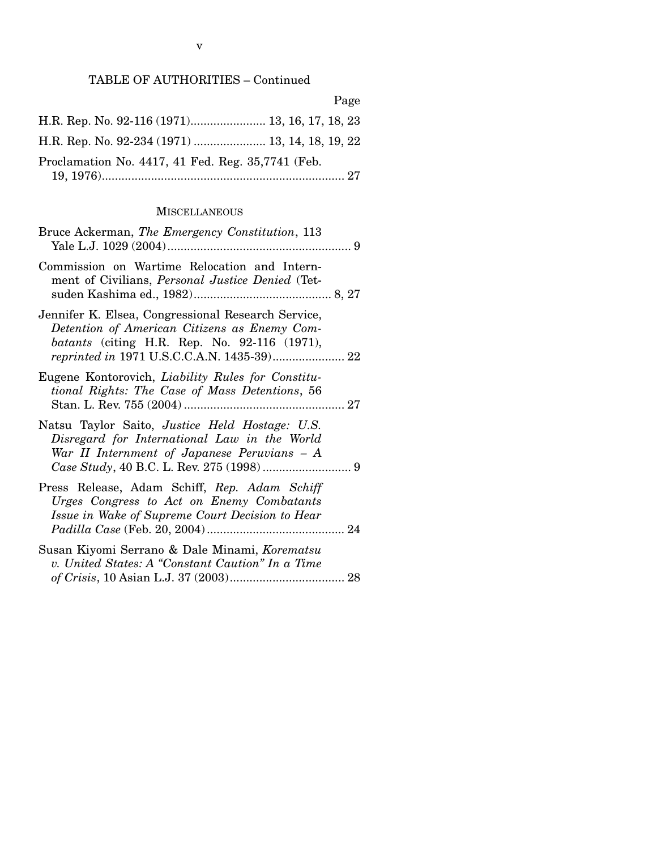Page

| H.R. Rep. No. 92-116 (1971) 13, 16, 17, 18, 23    |  |
|---------------------------------------------------|--|
| H.R. Rep. No. 92-234 (1971)  13, 14, 18, 19, 22   |  |
| Proclamation No. 4417, 41 Fed. Reg. 35,7741 (Feb. |  |

#### **MISCELLANEOUS**

| Bruce Ackerman, The Emergency Constitution, 113                                                                                                              |
|--------------------------------------------------------------------------------------------------------------------------------------------------------------|
| Commission on Wartime Relocation and Intern-<br>ment of Civilians, <i>Personal Justice Denied</i> (Tet-                                                      |
| Jennifer K. Elsea, Congressional Research Service,<br>Detention of American Citizens as Enemy Com-<br><i>batants</i> (citing H.R. Rep. No. 92-116 $(1971)$ , |
| Eugene Kontorovich, Liability Rules for Constitu-<br>tional Rights: The Case of Mass Detentions, 56                                                          |
| Natsu Taylor Saito, Justice Held Hostage: U.S.<br>Disregard for International Law in the World<br>War II Internment of Japanese Peruvians $-A$               |
| Press Release, Adam Schiff, Rep. Adam Schiff<br>Urges Congress to Act on Enemy Combatants<br>Issue in Wake of Supreme Court Decision to Hear                 |
| Susan Kiyomi Serrano & Dale Minami, Korematsu<br>v. United States: A "Constant Caution" In a Time                                                            |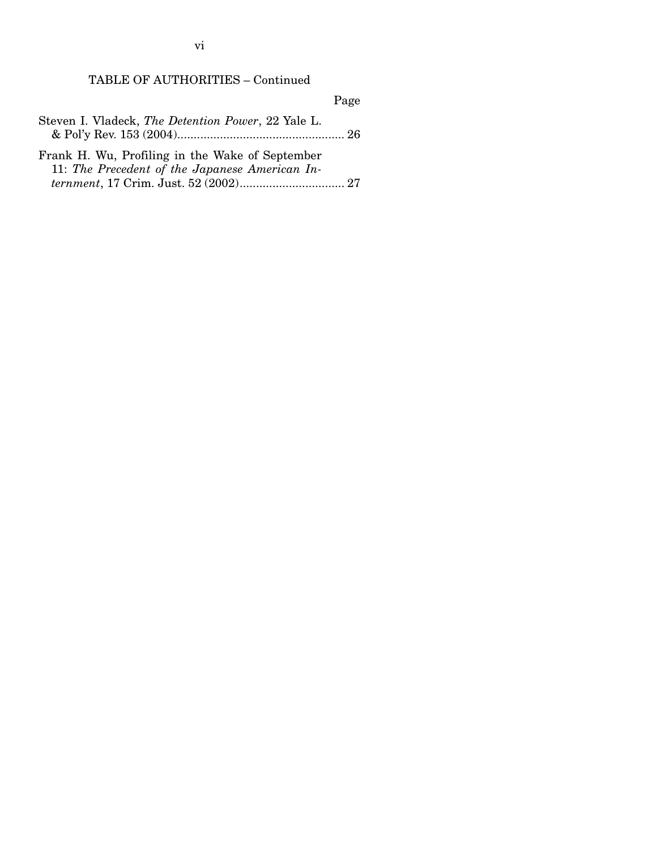vi

## TABLE OF AUTHORITIES – Continued

Page

| Steven I. Vladeck, The Detention Power, 22 Yale L. |  |
|----------------------------------------------------|--|
|                                                    |  |

Frank H. Wu, Profiling in the Wake of September 11: *The Precedent of the Japanese American Internment*, 17 Crim. Just. 52 (2002)................................ 27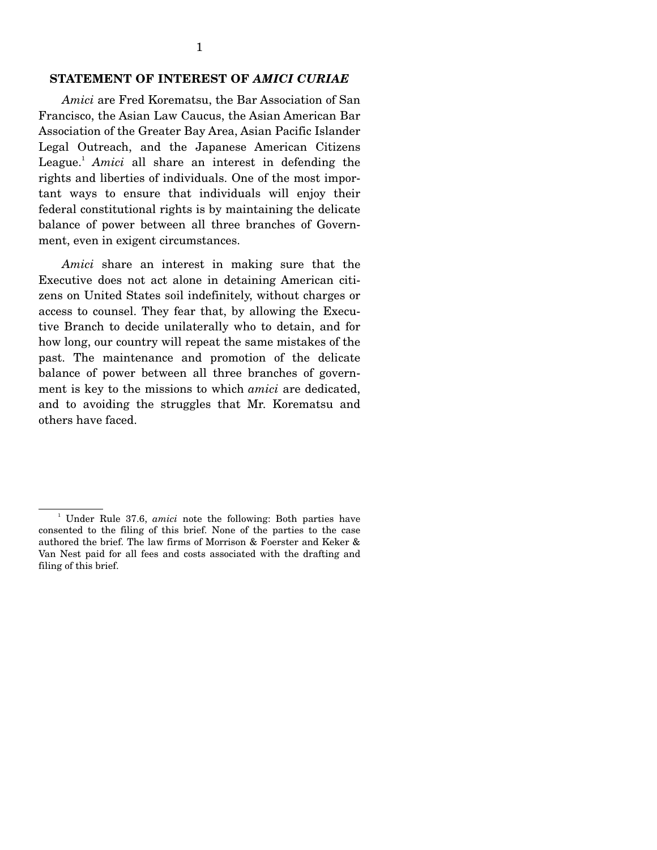#### **STATEMENT OF INTEREST OF** *AMICI CURIAE*

 *Amici* are Fred Korematsu, the Bar Association of San Francisco, the Asian Law Caucus, the Asian American Bar Association of the Greater Bay Area, Asian Pacific Islander Legal Outreach, and the Japanese American Citizens League.<sup>1</sup> Amici all share an interest in defending the rights and liberties of individuals. One of the most important ways to ensure that individuals will enjoy their federal constitutional rights is by maintaining the delicate balance of power between all three branches of Government, even in exigent circumstances.

 *Amici* share an interest in making sure that the Executive does not act alone in detaining American citizens on United States soil indefinitely, without charges or access to counsel. They fear that, by allowing the Executive Branch to decide unilaterally who to detain, and for how long, our country will repeat the same mistakes of the past. The maintenance and promotion of the delicate balance of power between all three branches of government is key to the missions to which *amici* are dedicated, and to avoiding the struggles that Mr. Korematsu and others have faced.

<sup>&</sup>lt;sup>1</sup> Under Rule 37.6, *amici* note the following: Both parties have consented to the filing of this brief. None of the parties to the case authored the brief. The law firms of Morrison & Foerster and Keker & Van Nest paid for all fees and costs associated with the drafting and filing of this brief.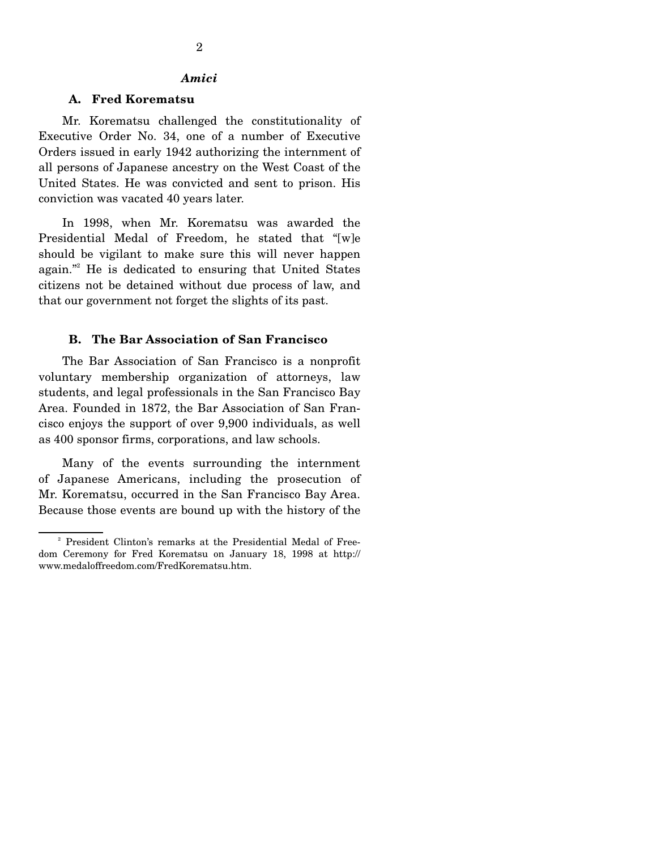#### *Amici*

#### **A. Fred Korematsu**

 Mr. Korematsu challenged the constitutionality of Executive Order No. 34, one of a number of Executive Orders issued in early 1942 authorizing the internment of all persons of Japanese ancestry on the West Coast of the United States. He was convicted and sent to prison. His conviction was vacated 40 years later.

 In 1998, when Mr. Korematsu was awarded the Presidential Medal of Freedom, he stated that "[w]e should be vigilant to make sure this will never happen again."<sup>2</sup> He is dedicated to ensuring that United States citizens not be detained without due process of law, and that our government not forget the slights of its past.

#### **B. The Bar Association of San Francisco**

 The Bar Association of San Francisco is a nonprofit voluntary membership organization of attorneys, law students, and legal professionals in the San Francisco Bay Area. Founded in 1872, the Bar Association of San Francisco enjoys the support of over 9,900 individuals, as well as 400 sponsor firms, corporations, and law schools.

 Many of the events surrounding the internment of Japanese Americans, including the prosecution of Mr. Korematsu, occurred in the San Francisco Bay Area. Because those events are bound up with the history of the

<sup>&</sup>lt;sup>2</sup> President Clinton's remarks at the Presidential Medal of Freedom Ceremony for Fred Korematsu on January 18, 1998 at http:// www.medaloffreedom.com/FredKorematsu.htm.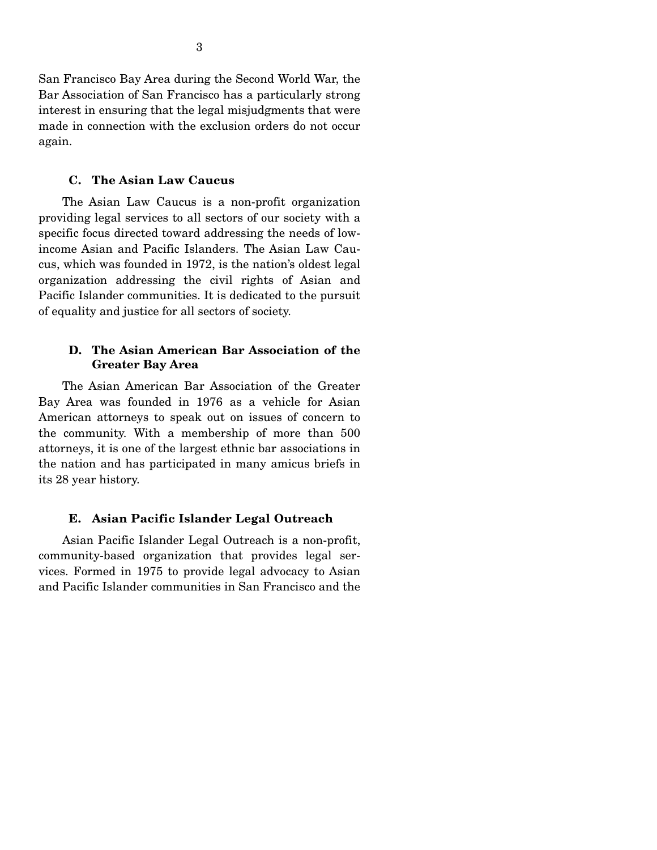San Francisco Bay Area during the Second World War, the Bar Association of San Francisco has a particularly strong interest in ensuring that the legal misjudgments that were made in connection with the exclusion orders do not occur again.

#### **C. The Asian Law Caucus**

 The Asian Law Caucus is a non-profit organization providing legal services to all sectors of our society with a specific focus directed toward addressing the needs of lowincome Asian and Pacific Islanders. The Asian Law Caucus, which was founded in 1972, is the nation's oldest legal organization addressing the civil rights of Asian and Pacific Islander communities. It is dedicated to the pursuit of equality and justice for all sectors of society.

#### **D. The Asian American Bar Association of the Greater Bay Area**

 The Asian American Bar Association of the Greater Bay Area was founded in 1976 as a vehicle for Asian American attorneys to speak out on issues of concern to the community. With a membership of more than 500 attorneys, it is one of the largest ethnic bar associations in the nation and has participated in many amicus briefs in its 28 year history.

#### **E. Asian Pacific Islander Legal Outreach**

 Asian Pacific Islander Legal Outreach is a non-profit, community-based organization that provides legal services. Formed in 1975 to provide legal advocacy to Asian and Pacific Islander communities in San Francisco and the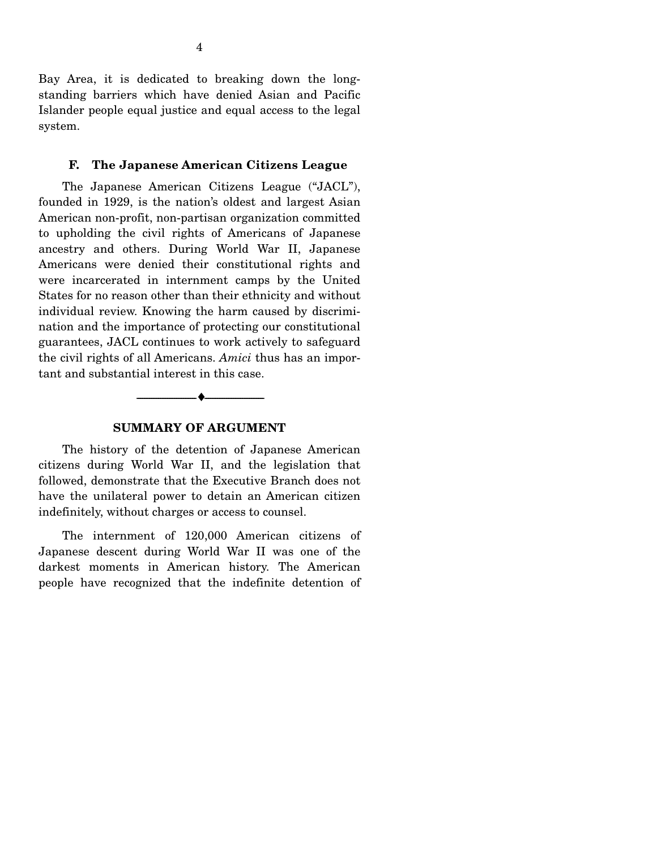Bay Area, it is dedicated to breaking down the longstanding barriers which have denied Asian and Pacific Islander people equal justice and equal access to the legal system.

#### **F. The Japanese American Citizens League**

 The Japanese American Citizens League ("JACL"), founded in 1929, is the nation's oldest and largest Asian American non-profit, non-partisan organization committed to upholding the civil rights of Americans of Japanese ancestry and others. During World War II, Japanese Americans were denied their constitutional rights and were incarcerated in internment camps by the United States for no reason other than their ethnicity and without individual review. Knowing the harm caused by discrimination and the importance of protecting our constitutional guarantees, JACL continues to work actively to safeguard the civil rights of all Americans. *Amici* thus has an important and substantial interest in this case.

#### **SUMMARY OF ARGUMENT**

--------------------------------- ♦ ---------------------------------

 The history of the detention of Japanese American citizens during World War II, and the legislation that followed, demonstrate that the Executive Branch does not have the unilateral power to detain an American citizen indefinitely, without charges or access to counsel.

 The internment of 120,000 American citizens of Japanese descent during World War II was one of the darkest moments in American history. The American people have recognized that the indefinite detention of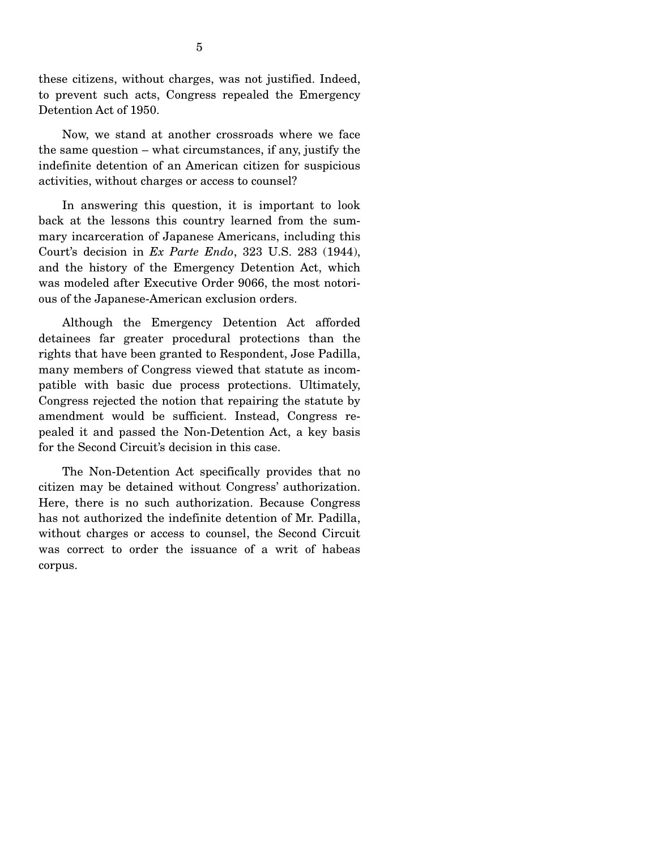these citizens, without charges, was not justified. Indeed, to prevent such acts, Congress repealed the Emergency Detention Act of 1950.

 Now, we stand at another crossroads where we face the same question – what circumstances, if any, justify the indefinite detention of an American citizen for suspicious activities, without charges or access to counsel?

 In answering this question, it is important to look back at the lessons this country learned from the summary incarceration of Japanese Americans, including this Court's decision in *Ex Parte Endo*, 323 U.S. 283 (1944), and the history of the Emergency Detention Act, which was modeled after Executive Order 9066, the most notorious of the Japanese-American exclusion orders.

 Although the Emergency Detention Act afforded detainees far greater procedural protections than the rights that have been granted to Respondent, Jose Padilla, many members of Congress viewed that statute as incompatible with basic due process protections. Ultimately, Congress rejected the notion that repairing the statute by amendment would be sufficient. Instead, Congress repealed it and passed the Non-Detention Act, a key basis for the Second Circuit's decision in this case.

 The Non-Detention Act specifically provides that no citizen may be detained without Congress' authorization. Here, there is no such authorization. Because Congress has not authorized the indefinite detention of Mr. Padilla, without charges or access to counsel, the Second Circuit was correct to order the issuance of a writ of habeas corpus.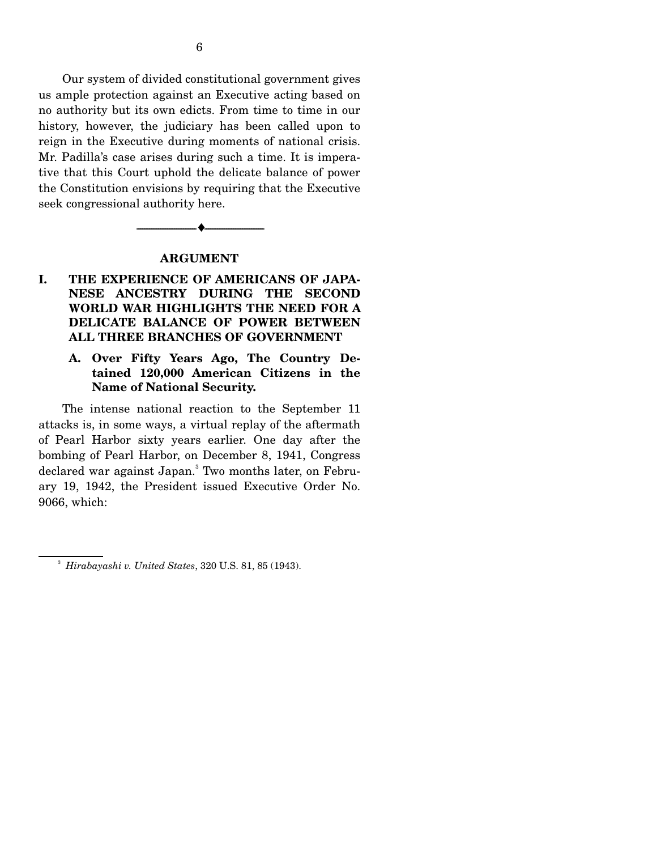Our system of divided constitutional government gives us ample protection against an Executive acting based on no authority but its own edicts. From time to time in our history, however, the judiciary has been called upon to reign in the Executive during moments of national crisis. Mr. Padilla's case arises during such a time. It is imperative that this Court uphold the delicate balance of power the Constitution envisions by requiring that the Executive seek congressional authority here.

#### **ARGUMENT**

--------------------------------- ♦ ---------------------------------

## **I. THE EXPERIENCE OF AMERICANS OF JAPA-NESE ANCESTRY DURING THE SECOND WORLD WAR HIGHLIGHTS THE NEED FOR A DELICATE BALANCE OF POWER BETWEEN ALL THREE BRANCHES OF GOVERNMENT**

#### **A. Over Fifty Years Ago, The Country Detained 120,000 American Citizens in the Name of National Security.**

 The intense national reaction to the September 11 attacks is, in some ways, a virtual replay of the aftermath of Pearl Harbor sixty years earlier. One day after the bombing of Pearl Harbor, on December 8, 1941, Congress declared war against Japan.<sup>3</sup> Two months later, on February 19, 1942, the President issued Executive Order No. 9066, which:

<sup>3</sup> *Hirabayashi v. United States*, 320 U.S. 81, 85 (1943).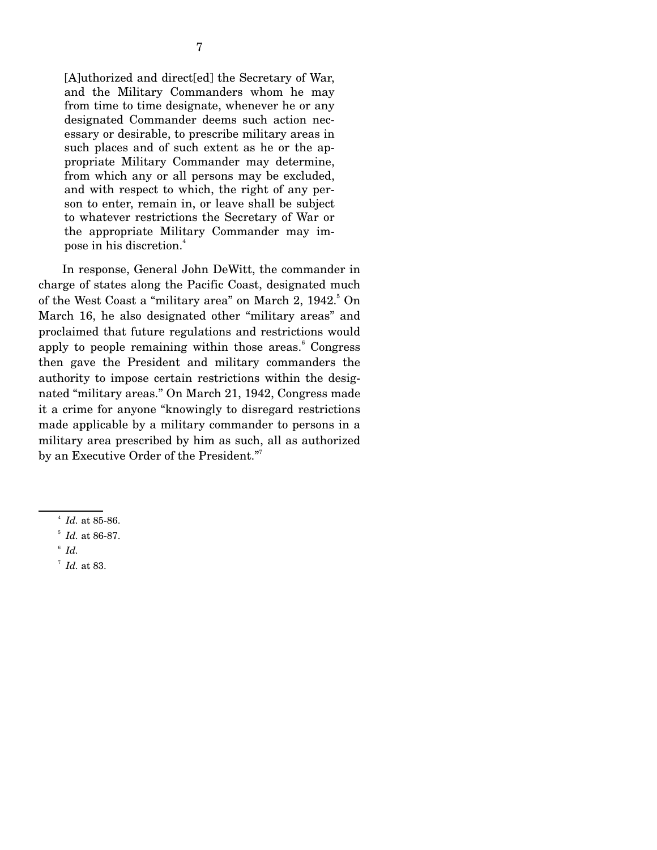[A]uthorized and direct[ed] the Secretary of War, and the Military Commanders whom he may from time to time designate, whenever he or any designated Commander deems such action necessary or desirable, to prescribe military areas in such places and of such extent as he or the appropriate Military Commander may determine, from which any or all persons may be excluded, and with respect to which, the right of any person to enter, remain in, or leave shall be subject to whatever restrictions the Secretary of War or the appropriate Military Commander may impose in his discretion.<sup>4</sup>

 In response, General John DeWitt, the commander in charge of states along the Pacific Coast, designated much of the West Coast a "military area" on March 2, 1942.<sup>5</sup> On March 16, he also designated other "military areas" and proclaimed that future regulations and restrictions would apply to people remaining within those areas.<sup>6</sup> Congress then gave the President and military commanders the authority to impose certain restrictions within the designated "military areas." On March 21, 1942, Congress made it a crime for anyone "knowingly to disregard restrictions made applicable by a military commander to persons in a military area prescribed by him as such, all as authorized by an Executive Order of the President."7 

- $6$   $Id.$
- <sup>7</sup> *Id.* at 83.

<sup>4</sup> *Id.* at 85-86.

 $^{5}$  *Id.* at 86-87.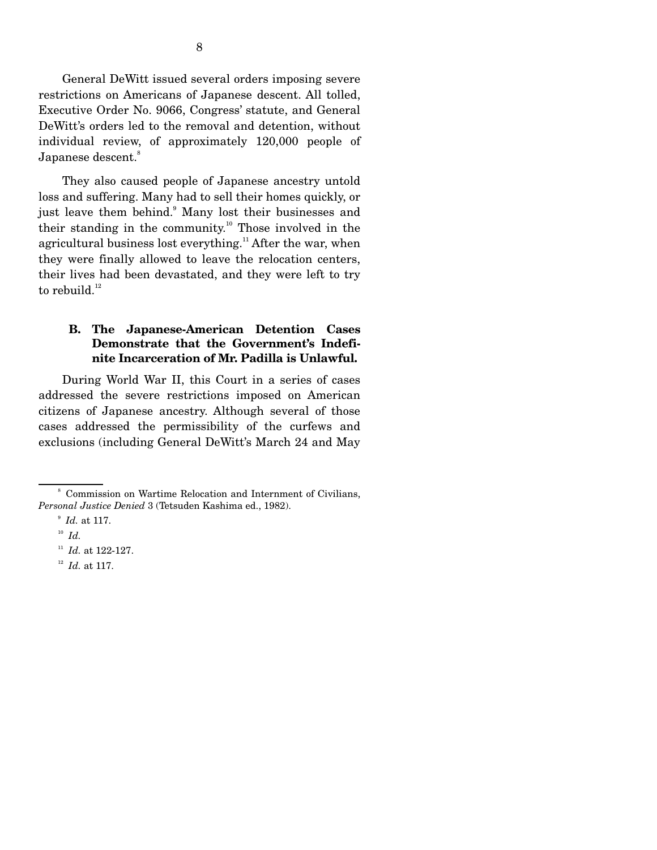General DeWitt issued several orders imposing severe restrictions on Americans of Japanese descent. All tolled, Executive Order No. 9066, Congress' statute, and General DeWitt's orders led to the removal and detention, without individual review, of approximately 120,000 people of Japanese descent.<sup>8</sup>

 They also caused people of Japanese ancestry untold loss and suffering. Many had to sell their homes quickly, or just leave them behind.<sup>9</sup> Many lost their businesses and their standing in the community.10 Those involved in the agricultural business lost everything.<sup>11</sup> After the war, when they were finally allowed to leave the relocation centers, their lives had been devastated, and they were left to try to rebuild. $12$ 

#### **B. The Japanese-American Detention Cases Demonstrate that the Government's Indefinite Incarceration of Mr. Padilla is Unlawful.**

 During World War II, this Court in a series of cases addressed the severe restrictions imposed on American citizens of Japanese ancestry. Although several of those cases addressed the permissibility of the curfews and exclusions (including General DeWitt's March 24 and May

<sup>12</sup> *Id.* at 117.

<sup>&</sup>lt;sup>8</sup> Commission on Wartime Relocation and Internment of Civilians, *Personal Justice Denied* 3 (Tetsuden Kashima ed., 1982).

<sup>9</sup> *Id.* at 117.

<sup>10</sup> *Id.*

<sup>&</sup>lt;sup>11</sup> *Id.* at 122-127.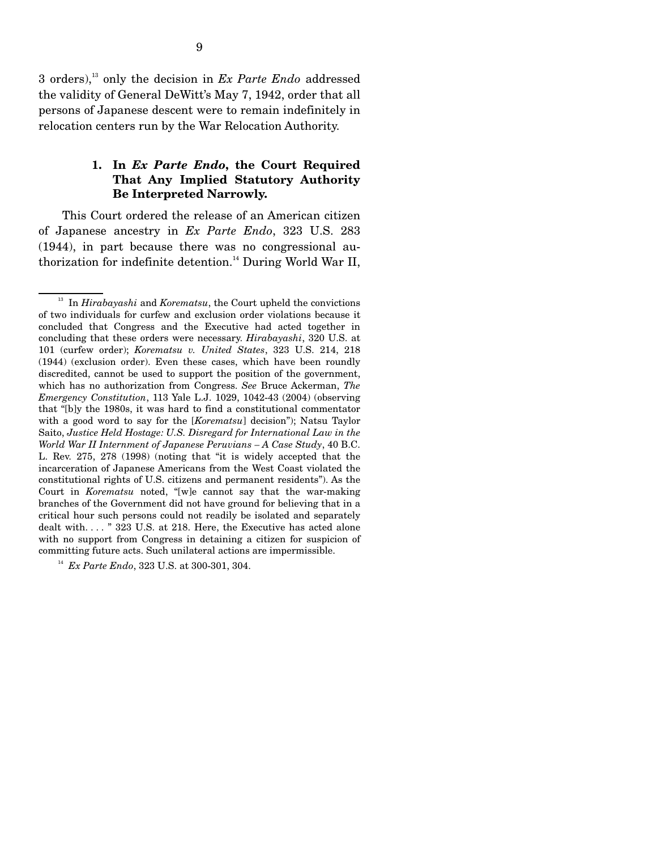3 orders),13 only the decision in *Ex Parte Endo* addressed the validity of General DeWitt's May 7, 1942, order that all persons of Japanese descent were to remain indefinitely in relocation centers run by the War Relocation Authority.

### **1. In** *Ex Parte Endo***, the Court Required That Any Implied Statutory Authority Be Interpreted Narrowly.**

 This Court ordered the release of an American citizen of Japanese ancestry in *Ex Parte Endo*, 323 U.S. 283 (1944), in part because there was no congressional authorization for indefinite detention.<sup>14</sup> During World War II,

<sup>14</sup> *Ex Parte Endo*, 323 U.S. at 300-301, 304.

13 In *Hirabayashi* and *Korematsu*, the Court upheld the convictions of two individuals for curfew and exclusion order violations because it concluded that Congress and the Executive had acted together in concluding that these orders were necessary. *Hirabayashi*, 320 U.S. at 101 (curfew order); *Korematsu v. United States*, 323 U.S. 214, 218 (1944) (exclusion order). Even these cases, which have been roundly discredited, cannot be used to support the position of the government, which has no authorization from Congress. *See* Bruce Ackerman, *The Emergency Constitution*, 113 Yale L.J. 1029, 1042-43 (2004) (observing that "[b]y the 1980s, it was hard to find a constitutional commentator with a good word to say for the [*Korematsu*] decision"); Natsu Taylor Saito, *Justice Held Hostage: U.S. Disregard for International Law in the World War II Internment of Japanese Peruvians – A Case Study*, 40 B.C. L. Rev. 275, 278 (1998) (noting that "it is widely accepted that the incarceration of Japanese Americans from the West Coast violated the constitutional rights of U.S. citizens and permanent residents"). As the Court in *Korematsu* noted, "[w]e cannot say that the war-making branches of the Government did not have ground for believing that in a critical hour such persons could not readily be isolated and separately dealt with. . . . " 323 U.S. at 218. Here, the Executive has acted alone with no support from Congress in detaining a citizen for suspicion of committing future acts. Such unilateral actions are impermissible.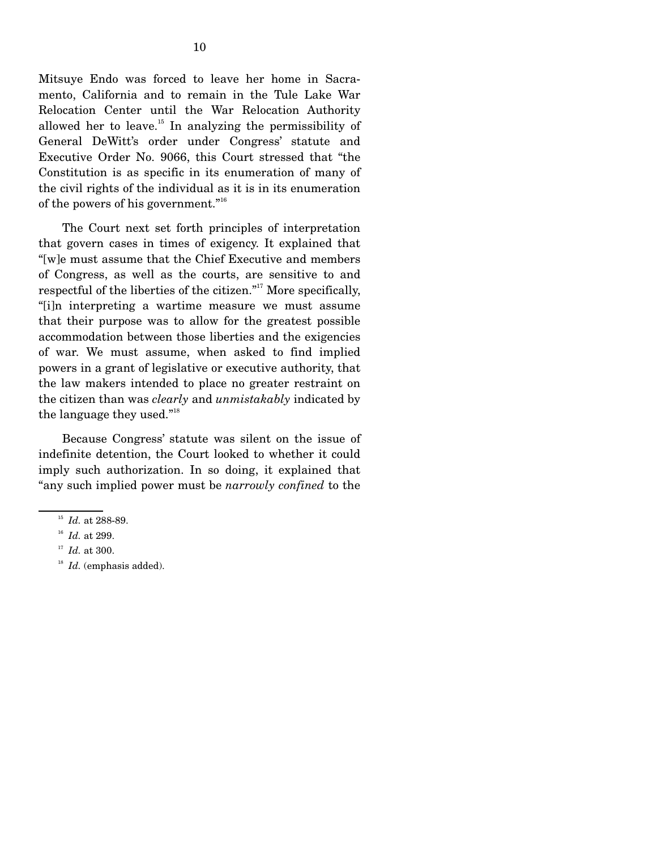Mitsuye Endo was forced to leave her home in Sacramento, California and to remain in the Tule Lake War Relocation Center until the War Relocation Authority allowed her to leave.15 In analyzing the permissibility of General DeWitt's order under Congress' statute and Executive Order No. 9066, this Court stressed that "the Constitution is as specific in its enumeration of many of the civil rights of the individual as it is in its enumeration of the powers of his government."16

 The Court next set forth principles of interpretation that govern cases in times of exigency. It explained that "[w]e must assume that the Chief Executive and members of Congress, as well as the courts, are sensitive to and respectful of the liberties of the citizen."<sup>17</sup> More specifically, "[i]n interpreting a wartime measure we must assume that their purpose was to allow for the greatest possible accommodation between those liberties and the exigencies of war. We must assume, when asked to find implied powers in a grant of legislative or executive authority, that the law makers intended to place no greater restraint on the citizen than was *clearly* and *unmistakably* indicated by the language they used."18

 Because Congress' statute was silent on the issue of indefinite detention, the Court looked to whether it could imply such authorization. In so doing, it explained that "any such implied power must be *narrowly confined* to the

- <sup>17</sup> *Id.* at 300.
- <sup>18</sup> *Id.* (emphasis added).

<sup>&</sup>lt;sup>15</sup> *Id.* at 288-89.

<sup>16</sup> *Id.* at 299.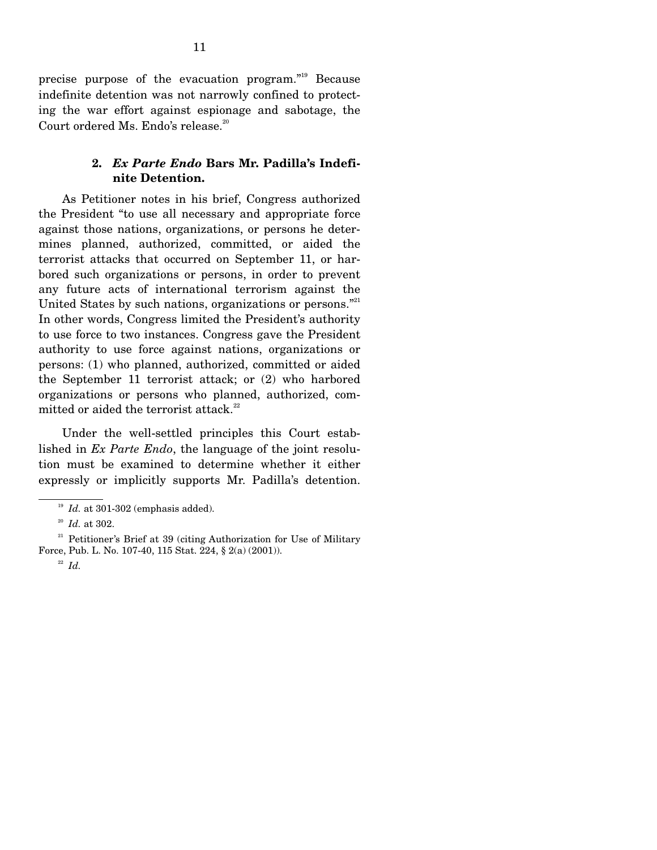precise purpose of the evacuation program."19 Because indefinite detention was not narrowly confined to protecting the war effort against espionage and sabotage, the Court ordered Ms. Endo's release. $20$ 

#### **2.** *Ex Parte Endo* **Bars Mr. Padilla's Indefinite Detention.**

 As Petitioner notes in his brief, Congress authorized the President "to use all necessary and appropriate force against those nations, organizations, or persons he determines planned, authorized, committed, or aided the terrorist attacks that occurred on September 11, or harbored such organizations or persons, in order to prevent any future acts of international terrorism against the United States by such nations, organizations or persons."<sup>21</sup> In other words, Congress limited the President's authority to use force to two instances. Congress gave the President authority to use force against nations, organizations or persons: (1) who planned, authorized, committed or aided the September 11 terrorist attack; or (2) who harbored organizations or persons who planned, authorized, committed or aided the terrorist attack. $22$ 

 Under the well-settled principles this Court established in *Ex Parte Endo*, the language of the joint resolution must be examined to determine whether it either expressly or implicitly supports Mr. Padilla's detention.

 $19$  *Id.* at 301-302 (emphasis added).

<sup>20</sup> *Id.* at 302.

<sup>&</sup>lt;sup>21</sup> Petitioner's Brief at 39 (citing Authorization for Use of Military Force, Pub. L. No. 107-40, 115 Stat. 224, § 2(a) (2001)).

<sup>22</sup> *Id.*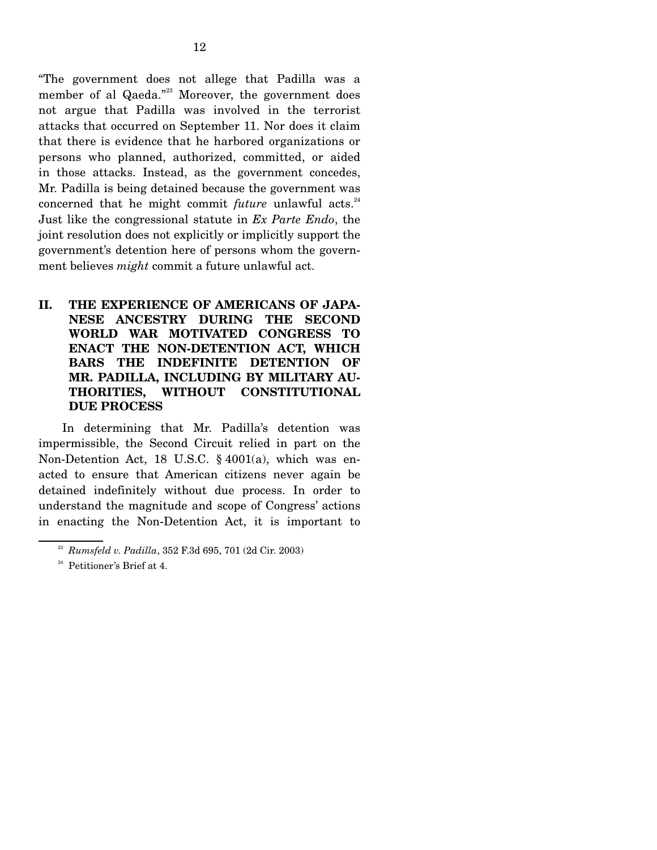"The government does not allege that Padilla was a member of al Qaeda."<sup>23</sup> Moreover, the government does not argue that Padilla was involved in the terrorist attacks that occurred on September 11. Nor does it claim that there is evidence that he harbored organizations or persons who planned, authorized, committed, or aided in those attacks. Instead, as the government concedes, Mr. Padilla is being detained because the government was concerned that he might commit *future* unlawful acts.<sup>24</sup> Just like the congressional statute in *Ex Parte Endo*, the joint resolution does not explicitly or implicitly support the government's detention here of persons whom the government believes *might* commit a future unlawful act.

**II. THE EXPERIENCE OF AMERICANS OF JAPA-NESE ANCESTRY DURING THE SECOND WORLD WAR MOTIVATED CONGRESS TO ENACT THE NON-DETENTION ACT, WHICH BARS THE INDEFINITE DETENTION OF MR. PADILLA, INCLUDING BY MILITARY AU-THORITIES, WITHOUT CONSTITUTIONAL DUE PROCESS** 

In determining that Mr. Padilla's detention was impermissible, the Second Circuit relied in part on the Non-Detention Act, 18 U.S.C. § 4001(a), which was enacted to ensure that American citizens never again be detained indefinitely without due process. In order to understand the magnitude and scope of Congress' actions in enacting the Non-Detention Act, it is important to

<sup>23</sup> *Rumsfeld v. Padilla*, 352 F.3d 695, 701 (2d Cir. 2003)

<sup>&</sup>lt;sup>24</sup> Petitioner's Brief at 4.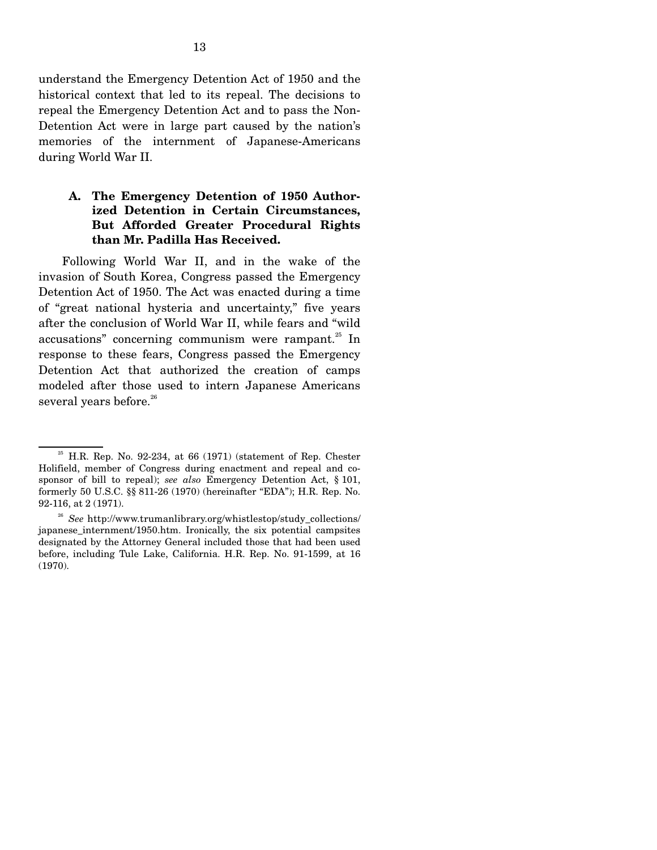understand the Emergency Detention Act of 1950 and the historical context that led to its repeal. The decisions to repeal the Emergency Detention Act and to pass the Non-Detention Act were in large part caused by the nation's memories of the internment of Japanese-Americans during World War II.

### **A. The Emergency Detention of 1950 Authorized Detention in Certain Circumstances, But Afforded Greater Procedural Rights than Mr. Padilla Has Received.**

 Following World War II, and in the wake of the invasion of South Korea, Congress passed the Emergency Detention Act of 1950. The Act was enacted during a time of "great national hysteria and uncertainty," five years after the conclusion of World War II, while fears and "wild accusations" concerning communism were rampant. $25$  In response to these fears, Congress passed the Emergency Detention Act that authorized the creation of camps modeled after those used to intern Japanese Americans several years before.<sup>26</sup>

 $25$  H.R. Rep. No. 92-234, at 66 (1971) (statement of Rep. Chester Holifield, member of Congress during enactment and repeal and cosponsor of bill to repeal); *see also* Emergency Detention Act, § 101, formerly 50 U.S.C. §§ 811-26 (1970) (hereinafter "EDA"); H.R. Rep. No. 92-116, at 2 (1971).

<sup>&</sup>lt;sup>26</sup> *See* http://www.trumanlibrary.org/whistlestop/study collections/ japanese\_internment/1950.htm. Ironically, the six potential campsites designated by the Attorney General included those that had been used before, including Tule Lake, California. H.R. Rep. No. 91-1599, at 16 (1970).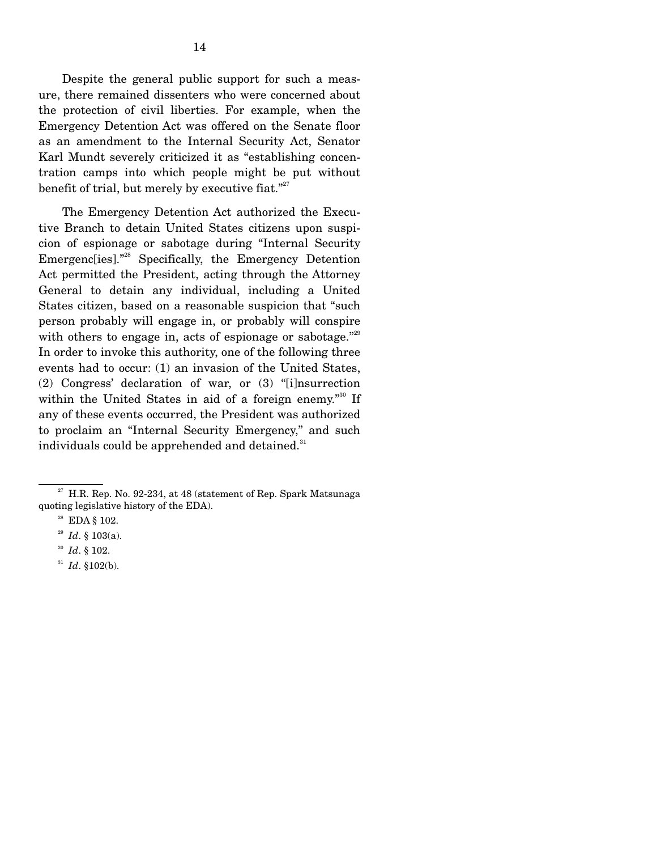Despite the general public support for such a measure, there remained dissenters who were concerned about the protection of civil liberties. For example, when the Emergency Detention Act was offered on the Senate floor as an amendment to the Internal Security Act, Senator Karl Mundt severely criticized it as "establishing concentration camps into which people might be put without benefit of trial, but merely by executive fiat."<sup>27</sup>

 The Emergency Detention Act authorized the Executive Branch to detain United States citizens upon suspicion of espionage or sabotage during "Internal Security Emergenc[ies]."<sup>28</sup> Specifically, the Emergency Detention Act permitted the President, acting through the Attorney General to detain any individual, including a United States citizen, based on a reasonable suspicion that "such person probably will engage in, or probably will conspire with others to engage in, acts of espionage or sabotage."<sup>29</sup> In order to invoke this authority, one of the following three events had to occur: (1) an invasion of the United States, (2) Congress' declaration of war, or (3) "[i]nsurrection within the United States in aid of a foreign enemy."<sup>30</sup> If any of these events occurred, the President was authorized to proclaim an "Internal Security Emergency," and such individuals could be apprehended and detained.<sup>31</sup>

 $27$  H.R. Rep. No. 92-234, at 48 (statement of Rep. Spark Matsunaga quoting legislative history of the EDA).

28 EDA § 102.

<sup>29</sup> *Id*. § 103(a).

<sup>30</sup> *Id*. § 102.

<sup>31</sup> *Id*. §102(b).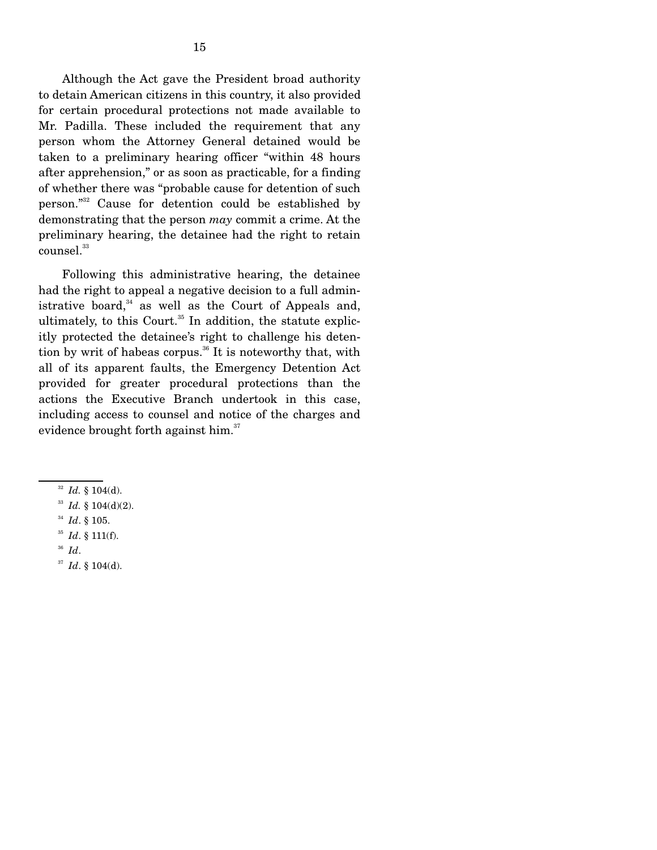Although the Act gave the President broad authority to detain American citizens in this country, it also provided for certain procedural protections not made available to Mr. Padilla. These included the requirement that any person whom the Attorney General detained would be taken to a preliminary hearing officer "within 48 hours after apprehension," or as soon as practicable, for a finding of whether there was "probable cause for detention of such person."32 Cause for detention could be established by demonstrating that the person *may* commit a crime. At the preliminary hearing, the detainee had the right to retain counsel.<sup>33</sup>

 Following this administrative hearing, the detainee had the right to appeal a negative decision to a full administrative board, $34$  as well as the Court of Appeals and, ultimately, to this Court.<sup>35</sup> In addition, the statute explicitly protected the detainee's right to challenge his detention by writ of habeas corpus.<sup>36</sup> It is noteworthy that, with all of its apparent faults, the Emergency Detention Act provided for greater procedural protections than the actions the Executive Branch undertook in this case, including access to counsel and notice of the charges and evidence brought forth against him.<sup>37</sup>

- <sup>32</sup> *Id.* § 104(d).
- <sup>33</sup> *Id.* § 104(d)(2).
- <sup>34</sup> *Id*. § 105.
- <sup>35</sup> *Id*. § 111(f).
- <sup>36</sup> *Id*.
- <sup>37</sup> *Id*. § 104(d).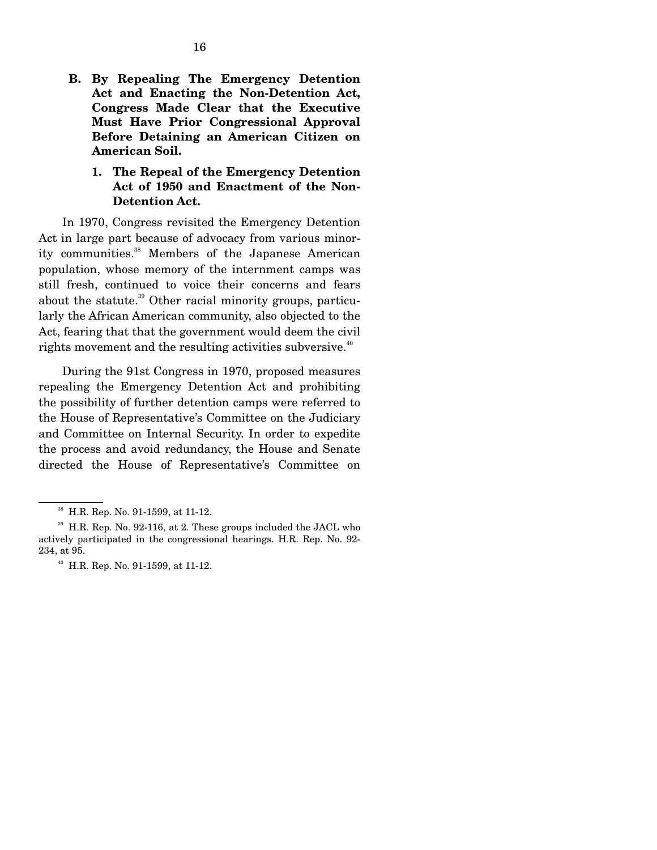- **B. By Repealing The Emergency Detention Act and Enacting the Non-Detention Act, Congress Made Clear that the Executive Must Have Prior Congressional Approval Before Detaining an American Citizen on American Soil.**
	- **1. The Repeal of the Emergency Detention Act of 1950 and Enactment of the Non-Detention Act.**

In 1970, Congress revisited the Emergency Detention Act in large part because of advocacy from various minority communities.<sup>38</sup> Members of the Japanese American population, whose memory of the internment camps was still fresh, continued to voice their concerns and fears about the statute.<sup>39</sup> Other racial minority groups, particularly the African American community, also objected to the Act, fearing that that the government would deem the civil rights movement and the resulting activities subversive. $40^{\circ}$ 

 During the 91st Congress in 1970, proposed measures repealing the Emergency Detention Act and prohibiting the possibility of further detention camps were referred to the House of Representative's Committee on the Judiciary and Committee on Internal Security. In order to expedite the process and avoid redundancy, the House and Senate directed the House of Representative's Committee on

38 H.R. Rep. No. 91-1599, at 11-12.

 $39$  H.R. Rep. No. 92-116, at 2. These groups included the JACL who actively participated in the congressional hearings. H.R. Rep. No. 92- 234, at 95.

40 H.R. Rep. No. 91-1599, at 11-12.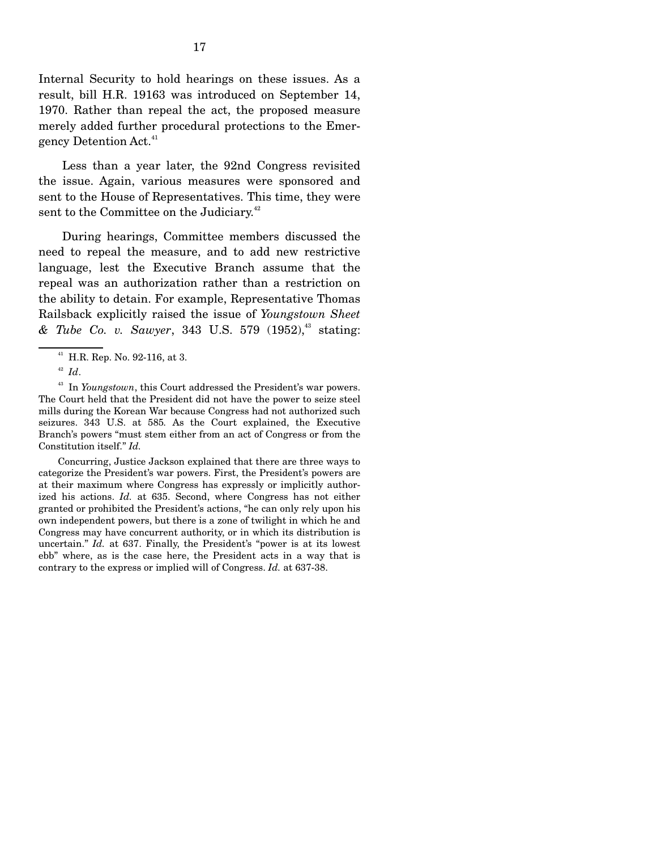Internal Security to hold hearings on these issues. As a result, bill H.R. 19163 was introduced on September 14, 1970. Rather than repeal the act, the proposed measure merely added further procedural protections to the Emergency Detention Act.<sup>41</sup>

 Less than a year later, the 92nd Congress revisited the issue. Again, various measures were sponsored and sent to the House of Representatives. This time, they were sent to the Committee on the Judiciary.<sup>42</sup>

 During hearings, Committee members discussed the need to repeal the measure, and to add new restrictive language, lest the Executive Branch assume that the repeal was an authorization rather than a restriction on the ability to detain. For example, Representative Thomas Railsback explicitly raised the issue of *Youngstown Sheet & Tube Co. v. Sawyer*, 343 U.S. 579 (1952),43 stating:

 Concurring, Justice Jackson explained that there are three ways to categorize the President's war powers. First, the President's powers are at their maximum where Congress has expressly or implicitly authorized his actions. *Id.* at 635. Second, where Congress has not either granted or prohibited the President's actions, "he can only rely upon his own independent powers, but there is a zone of twilight in which he and Congress may have concurrent authority, or in which its distribution is uncertain." *Id.* at 637. Finally, the President's "power is at its lowest ebb" where, as is the case here, the President acts in a way that is contrary to the express or implied will of Congress. *Id.* at 637-38.

 $41$  H.R. Rep. No. 92-116, at 3.

<sup>42</sup> *Id*.

<sup>&</sup>lt;sup>43</sup> In *Youngstown*, this Court addressed the President's war powers. The Court held that the President did not have the power to seize steel mills during the Korean War because Congress had not authorized such seizures. 343 U.S. at 585*.* As the Court explained, the Executive Branch's powers "must stem either from an act of Congress or from the Constitution itself." *Id.*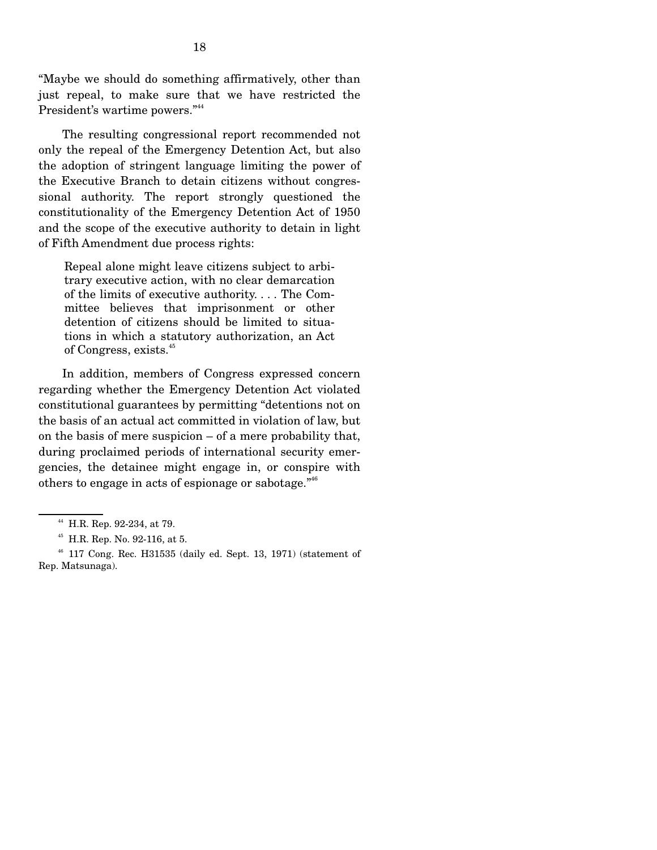"Maybe we should do something affirmatively, other than just repeal, to make sure that we have restricted the President's wartime powers."<sup>44</sup>

 The resulting congressional report recommended not only the repeal of the Emergency Detention Act, but also the adoption of stringent language limiting the power of the Executive Branch to detain citizens without congressional authority. The report strongly questioned the constitutionality of the Emergency Detention Act of 1950 and the scope of the executive authority to detain in light of Fifth Amendment due process rights:

Repeal alone might leave citizens subject to arbitrary executive action, with no clear demarcation of the limits of executive authority. . . . The Committee believes that imprisonment or other detention of citizens should be limited to situations in which a statutory authorization, an Act of Congress, exists.<sup>45</sup>

 In addition, members of Congress expressed concern regarding whether the Emergency Detention Act violated constitutional guarantees by permitting "detentions not on the basis of an actual act committed in violation of law, but on the basis of mere suspicion – of a mere probability that, during proclaimed periods of international security emergencies, the detainee might engage in, or conspire with others to engage in acts of espionage or sabotage."46

44 H.R. Rep. 92-234, at 79.

45 H.R. Rep. No. 92-116, at 5.

 $46$  117 Cong. Rec. H31535 (daily ed. Sept. 13, 1971) (statement of Rep. Matsunaga).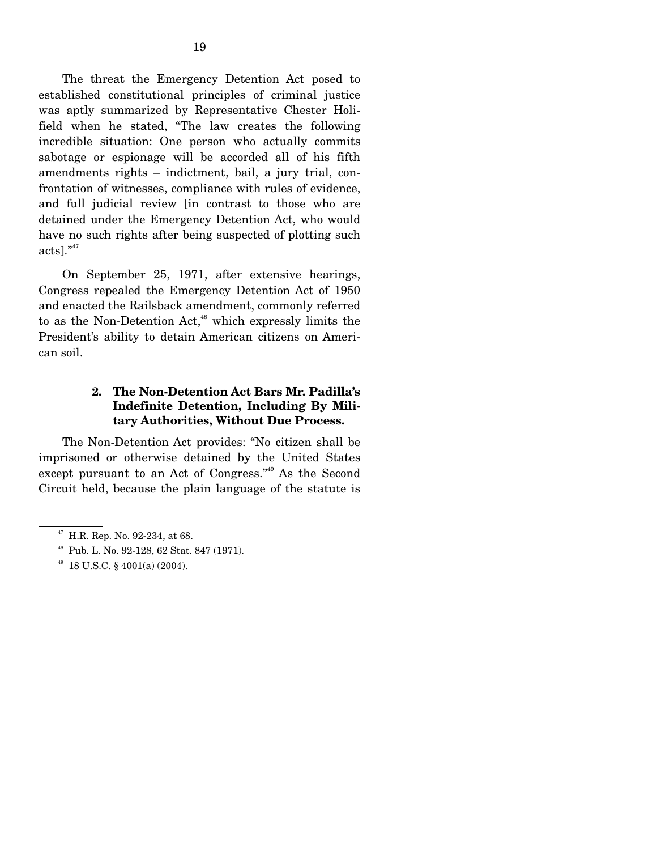The threat the Emergency Detention Act posed to established constitutional principles of criminal justice was aptly summarized by Representative Chester Holifield when he stated, "The law creates the following incredible situation: One person who actually commits sabotage or espionage will be accorded all of his fifth amendments rights – indictment, bail, a jury trial, confrontation of witnesses, compliance with rules of evidence, and full judicial review [in contrast to those who are detained under the Emergency Detention Act, who would have no such rights after being suspected of plotting such  $acts].$ <sup>"47</sup>

 On September 25, 1971, after extensive hearings, Congress repealed the Emergency Detention Act of 1950 and enacted the Railsback amendment, commonly referred to as the Non-Detention Act, $48$  which expressly limits the President's ability to detain American citizens on American soil.

## **2. The Non-Detention Act Bars Mr. Padilla's Indefinite Detention, Including By Military Authorities, Without Due Process.**

The Non-Detention Act provides: "No citizen shall be imprisoned or otherwise detained by the United States except pursuant to an Act of Congress."49 As the Second Circuit held, because the plain language of the statute is

 $47$  H.R. Rep. No. 92-234, at 68.

48 Pub. L. No. 92-128, 62 Stat. 847 (1971).

49 18 U.S.C. § 4001(a) (2004).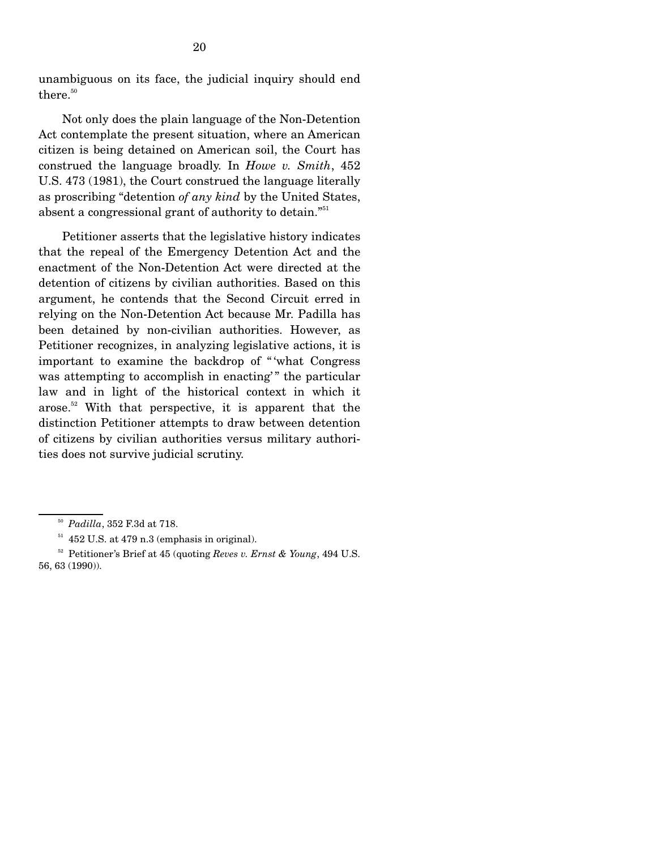unambiguous on its face, the judicial inquiry should end there.<sup>50</sup>

 Not only does the plain language of the Non-Detention Act contemplate the present situation, where an American citizen is being detained on American soil, the Court has construed the language broadly. In *Howe v. Smith*, 452 U.S. 473 (1981), the Court construed the language literally as proscribing "detention *of any kind* by the United States, absent a congressional grant of authority to detain."<sup>51</sup>

 Petitioner asserts that the legislative history indicates that the repeal of the Emergency Detention Act and the enactment of the Non-Detention Act were directed at the detention of citizens by civilian authorities. Based on this argument, he contends that the Second Circuit erred in relying on the Non-Detention Act because Mr. Padilla has been detained by non-civilian authorities. However, as Petitioner recognizes, in analyzing legislative actions, it is important to examine the backdrop of " 'what Congress was attempting to accomplish in enacting'" the particular law and in light of the historical context in which it arose.<sup>52</sup> With that perspective, it is apparent that the distinction Petitioner attempts to draw between detention of citizens by civilian authorities versus military authorities does not survive judicial scrutiny.

<sup>50</sup> *Padilla*, 352 F.3d at 718.

 $51$  452 U.S. at 479 n.3 (emphasis in original).

52 Petitioner's Brief at 45 (quoting *Reves v. Ernst & Young*, 494 U.S. 56, 63 (1990)).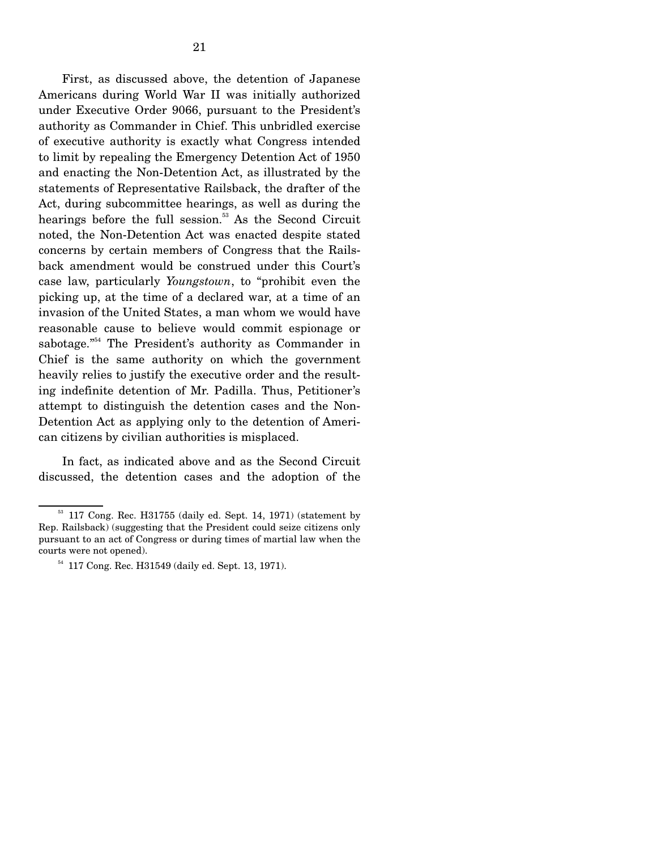First, as discussed above, the detention of Japanese Americans during World War II was initially authorized under Executive Order 9066, pursuant to the President's authority as Commander in Chief. This unbridled exercise of executive authority is exactly what Congress intended to limit by repealing the Emergency Detention Act of 1950 and enacting the Non-Detention Act, as illustrated by the statements of Representative Railsback, the drafter of the Act, during subcommittee hearings, as well as during the hearings before the full session.<sup>53</sup> As the Second Circuit noted, the Non-Detention Act was enacted despite stated concerns by certain members of Congress that the Railsback amendment would be construed under this Court's case law, particularly *Youngstown*, to "prohibit even the picking up, at the time of a declared war, at a time of an invasion of the United States, a man whom we would have reasonable cause to believe would commit espionage or sabotage."<sup>54</sup> The President's authority as Commander in Chief is the same authority on which the government heavily relies to justify the executive order and the resulting indefinite detention of Mr. Padilla. Thus, Petitioner's attempt to distinguish the detention cases and the Non-Detention Act as applying only to the detention of American citizens by civilian authorities is misplaced.

 In fact, as indicated above and as the Second Circuit discussed, the detention cases and the adoption of the

 $53$  117 Cong. Rec. H31755 (daily ed. Sept. 14, 1971) (statement by Rep. Railsback) (suggesting that the President could seize citizens only pursuant to an act of Congress or during times of martial law when the courts were not opened).

<sup>54</sup> 117 Cong. Rec. H31549 (daily ed. Sept. 13, 1971).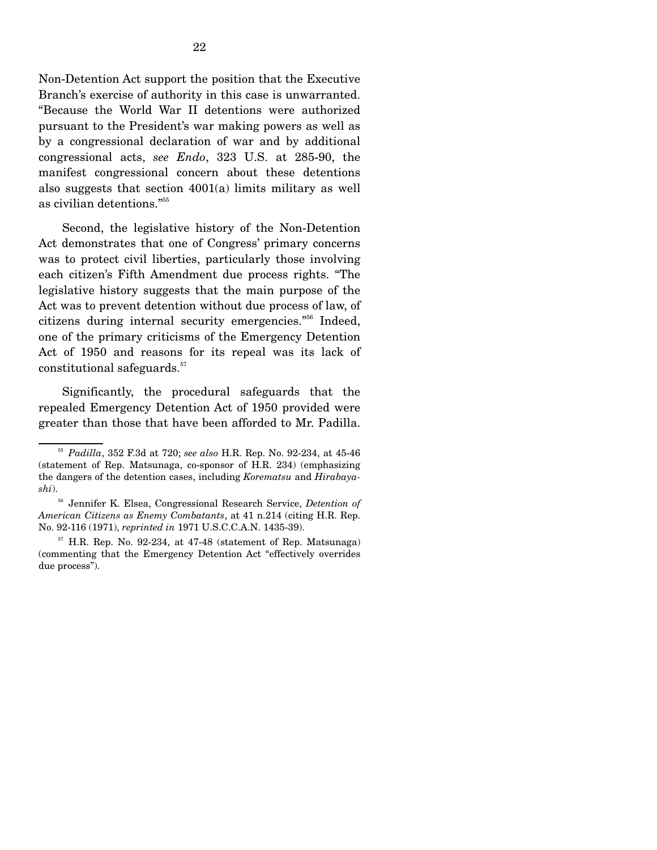Non-Detention Act support the position that the Executive Branch's exercise of authority in this case is unwarranted. "Because the World War II detentions were authorized pursuant to the President's war making powers as well as by a congressional declaration of war and by additional congressional acts, *see Endo*, 323 U.S. at 285-90, the manifest congressional concern about these detentions also suggests that section 4001(a) limits military as well as civilian detentions."55

 Second, the legislative history of the Non-Detention Act demonstrates that one of Congress' primary concerns was to protect civil liberties, particularly those involving each citizen's Fifth Amendment due process rights. "The legislative history suggests that the main purpose of the Act was to prevent detention without due process of law, of citizens during internal security emergencies."56 Indeed, one of the primary criticisms of the Emergency Detention Act of 1950 and reasons for its repeal was its lack of constitutional safeguards.<sup>57</sup>

 Significantly, the procedural safeguards that the repealed Emergency Detention Act of 1950 provided were greater than those that have been afforded to Mr. Padilla.

<sup>55</sup> *Padilla*, 352 F.3d at 720; *see also* H.R. Rep. No. 92-234, at 45-46 (statement of Rep. Matsunaga, co-sponsor of H.R. 234) (emphasizing the dangers of the detention cases, including *Korematsu* and *Hirabayashi*).

56 Jennifer K. Elsea, Congressional Research Service, *Detention of American Citizens as Enemy Combatants*, at 41 n.214 (citing H.R. Rep. No. 92-116 (1971), *reprinted in* 1971 U.S.C.C.A.N. 1435-39).

 $57$  H.R. Rep. No. 92-234, at 47-48 (statement of Rep. Matsunaga) (commenting that the Emergency Detention Act "effectively overrides due process").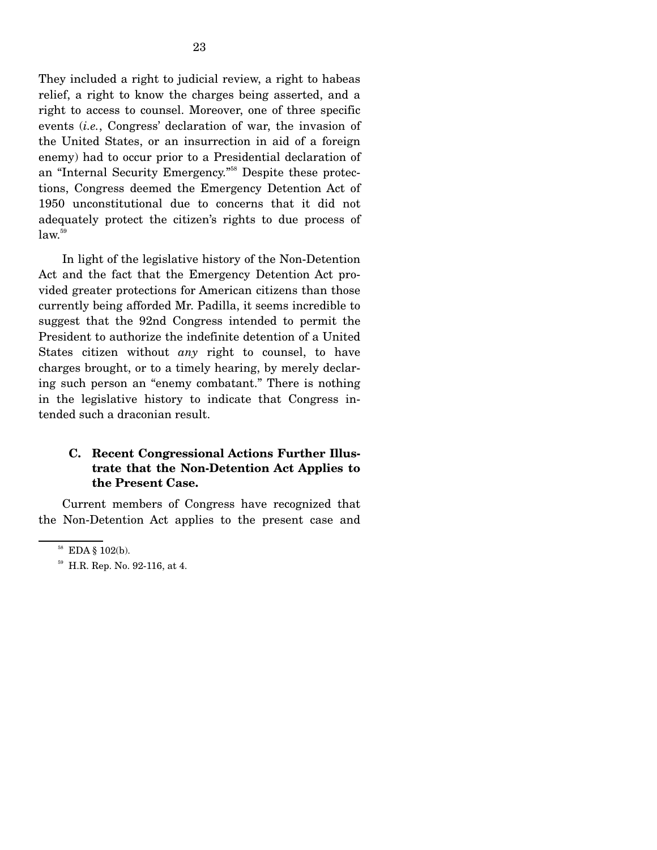They included a right to judicial review, a right to habeas relief, a right to know the charges being asserted, and a right to access to counsel. Moreover, one of three specific events (*i.e.*, Congress' declaration of war, the invasion of the United States, or an insurrection in aid of a foreign enemy) had to occur prior to a Presidential declaration of an "Internal Security Emergency."58 Despite these protections, Congress deemed the Emergency Detention Act of 1950 unconstitutional due to concerns that it did not adequately protect the citizen's rights to due process of  $law.<sup>59</sup>$ 

 In light of the legislative history of the Non-Detention Act and the fact that the Emergency Detention Act provided greater protections for American citizens than those currently being afforded Mr. Padilla, it seems incredible to suggest that the 92nd Congress intended to permit the President to authorize the indefinite detention of a United States citizen without *any* right to counsel, to have charges brought, or to a timely hearing, by merely declaring such person an "enemy combatant." There is nothing in the legislative history to indicate that Congress intended such a draconian result.

#### **C. Recent Congressional Actions Further Illustrate that the Non-Detention Act Applies to the Present Case.**

 Current members of Congress have recognized that the Non-Detention Act applies to the present case and

58 EDA § 102(b).

59 H.R. Rep. No. 92-116, at 4.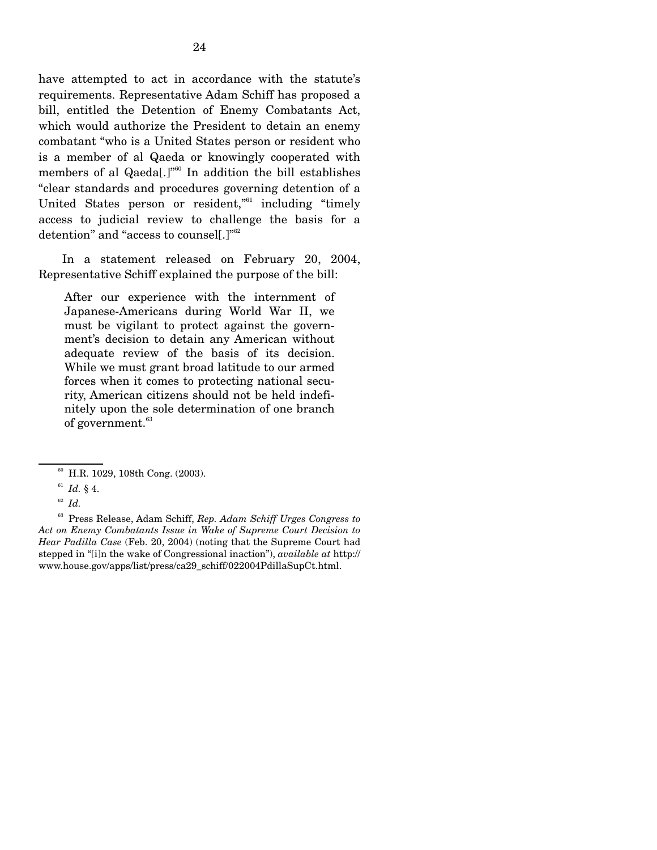have attempted to act in accordance with the statute's requirements. Representative Adam Schiff has proposed a bill, entitled the Detention of Enemy Combatants Act, which would authorize the President to detain an enemy combatant "who is a United States person or resident who is a member of al Qaeda or knowingly cooperated with members of al Qaeda[.]"<sup>60</sup> In addition the bill establishes "clear standards and procedures governing detention of a United States person or resident,"<sup>61</sup> including "timely access to judicial review to challenge the basis for a detention" and "access to counsel[.]"<sup>62</sup>

 In a statement released on February 20, 2004, Representative Schiff explained the purpose of the bill:

After our experience with the internment of Japanese-Americans during World War II, we must be vigilant to protect against the government's decision to detain any American without adequate review of the basis of its decision. While we must grant broad latitude to our armed forces when it comes to protecting national security, American citizens should not be held indefinitely upon the sole determination of one branch of government.<sup>63</sup>

 63 Press Release, Adam Schiff, *Rep. Adam Schiff Urges Congress to Act on Enemy Combatants Issue in Wake of Supreme Court Decision to Hear Padilla Case* (Feb. 20, 2004) (noting that the Supreme Court had stepped in "[i]n the wake of Congressional inaction"), *available at* http:// www.house.gov/apps/list/press/ca29\_schiff/022004PdillaSupCt.html.

60 H.R. 1029, 108th Cong. (2003).

<sup>61</sup> *Id.* § 4.

<sup>62</sup> *Id.*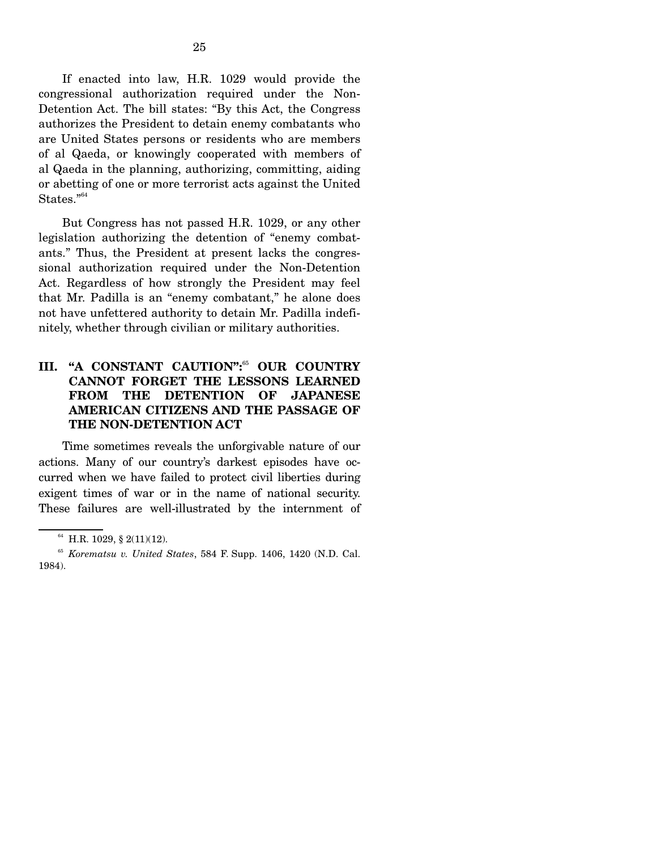If enacted into law, H.R. 1029 would provide the congressional authorization required under the Non-Detention Act. The bill states: "By this Act, the Congress authorizes the President to detain enemy combatants who are United States persons or residents who are members of al Qaeda, or knowingly cooperated with members of al Qaeda in the planning, authorizing, committing, aiding or abetting of one or more terrorist acts against the United States."<sup>64</sup>

 But Congress has not passed H.R. 1029, or any other legislation authorizing the detention of "enemy combatants." Thus, the President at present lacks the congressional authorization required under the Non-Detention Act. Regardless of how strongly the President may feel that Mr. Padilla is an "enemy combatant," he alone does not have unfettered authority to detain Mr. Padilla indefinitely, whether through civilian or military authorities.

### **III. "A CONSTANT CAUTION":**<sup>65</sup> **OUR COUNTRY CANNOT FORGET THE LESSONS LEARNED FROM THE DETENTION OF JAPANESE AMERICAN CITIZENS AND THE PASSAGE OF THE NON-DETENTION ACT**

 Time sometimes reveals the unforgivable nature of our actions. Many of our country's darkest episodes have occurred when we have failed to protect civil liberties during exigent times of war or in the name of national security. These failures are well-illustrated by the internment of

64 H.R. 1029, § 2(11)(12).

<sup>65</sup> *Korematsu v. United States*, 584 F. Supp. 1406, 1420 (N.D. Cal. 1984).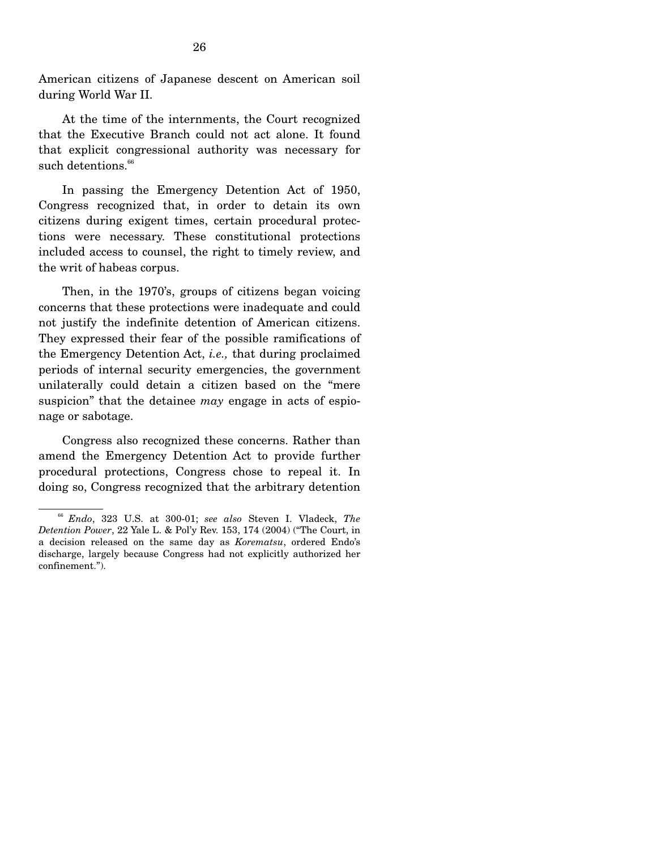American citizens of Japanese descent on American soil during World War II.

 At the time of the internments, the Court recognized that the Executive Branch could not act alone. It found that explicit congressional authority was necessary for such detentions.<sup>66</sup>

 In passing the Emergency Detention Act of 1950, Congress recognized that, in order to detain its own citizens during exigent times, certain procedural protections were necessary. These constitutional protections included access to counsel, the right to timely review, and the writ of habeas corpus.

 Then, in the 1970's, groups of citizens began voicing concerns that these protections were inadequate and could not justify the indefinite detention of American citizens. They expressed their fear of the possible ramifications of the Emergency Detention Act, *i.e.,* that during proclaimed periods of internal security emergencies, the government unilaterally could detain a citizen based on the "mere suspicion" that the detainee *may* engage in acts of espionage or sabotage.

 Congress also recognized these concerns. Rather than amend the Emergency Detention Act to provide further procedural protections, Congress chose to repeal it. In doing so, Congress recognized that the arbitrary detention

<sup>66</sup> *Endo*, 323 U.S. at 300-01; *see also* Steven I. Vladeck, *The Detention Power*, 22 Yale L. & Pol'y Rev. 153, 174 (2004) ("The Court, in a decision released on the same day as *Korematsu*, ordered Endo's discharge, largely because Congress had not explicitly authorized her confinement.").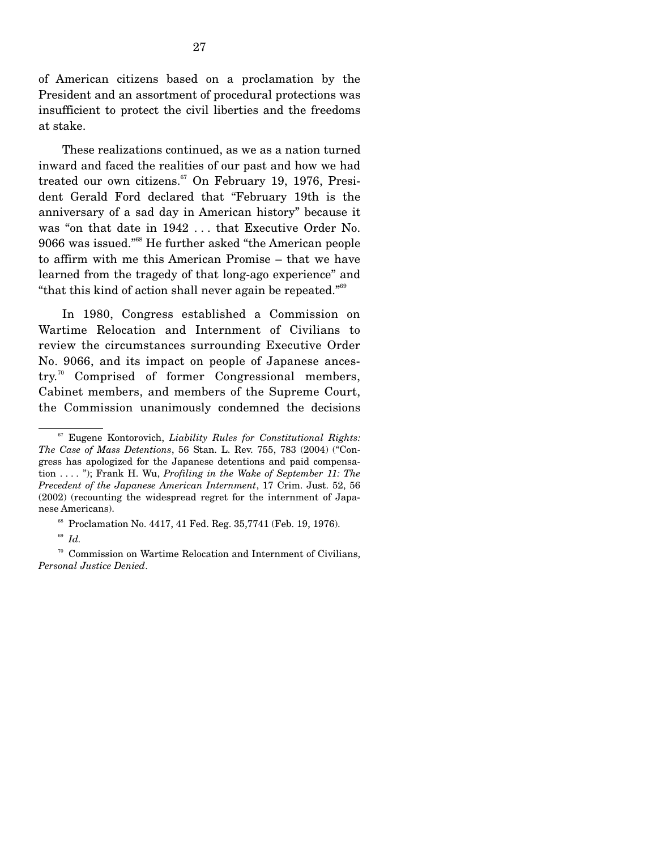of American citizens based on a proclamation by the President and an assortment of procedural protections was insufficient to protect the civil liberties and the freedoms at stake.

 These realizations continued, as we as a nation turned inward and faced the realities of our past and how we had treated our own citizens.<sup>67</sup> On February 19, 1976, President Gerald Ford declared that "February 19th is the anniversary of a sad day in American history" because it was "on that date in 1942 . . . that Executive Order No. 9066 was issued."68 He further asked "the American people to affirm with me this American Promise – that we have learned from the tragedy of that long-ago experience" and "that this kind of action shall never again be repeated."<sup>69</sup>

 In 1980, Congress established a Commission on Wartime Relocation and Internment of Civilians to review the circumstances surrounding Executive Order No. 9066, and its impact on people of Japanese ancestry.70 Comprised of former Congressional members, Cabinet members, and members of the Supreme Court, the Commission unanimously condemned the decisions

67 Eugene Kontorovich, *Liability Rules for Constitutional Rights: The Case of Mass Detentions*, 56 Stan. L. Rev. 755, 783 (2004) ("Congress has apologized for the Japanese detentions and paid compensation . . . . "); Frank H. Wu, *Profiling in the Wake of September 11: The Precedent of the Japanese American Internment*, 17 Crim. Just. 52, 56 (2002) (recounting the widespread regret for the internment of Japanese Americans).

68 Proclamation No. 4417, 41 Fed. Reg. 35,7741 (Feb. 19, 1976).

<sup>69</sup> *Id.*

70 Commission on Wartime Relocation and Internment of Civilians, *Personal Justice Denied*.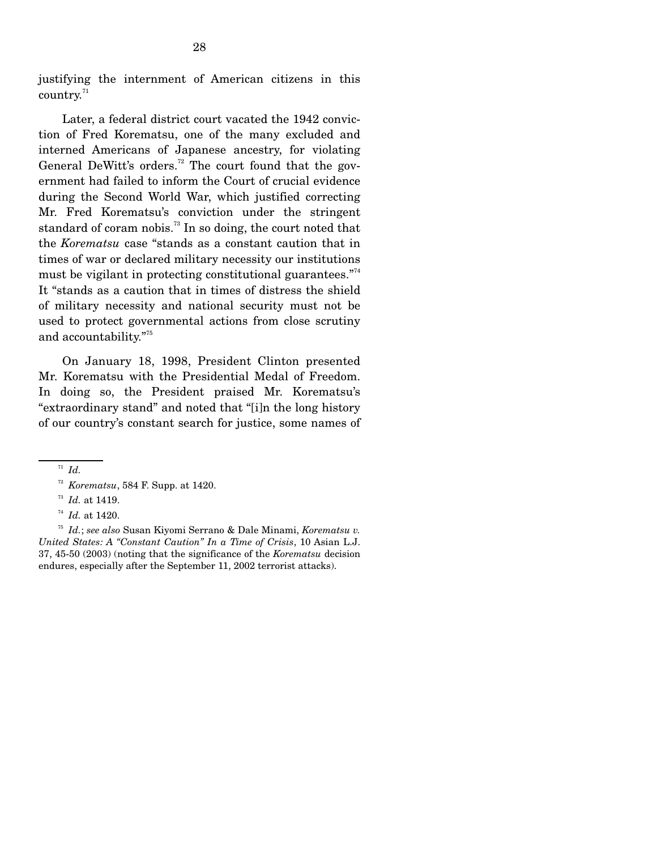justifying the internment of American citizens in this  $\mathrm{country.}^\mathrm{71}$ 

 Later, a federal district court vacated the 1942 conviction of Fred Korematsu, one of the many excluded and interned Americans of Japanese ancestry, for violating General DeWitt's orders.<sup>72</sup> The court found that the government had failed to inform the Court of crucial evidence during the Second World War, which justified correcting Mr. Fred Korematsu's conviction under the stringent standard of coram nobis.<sup>73</sup> In so doing, the court noted that the *Korematsu* case "stands as a constant caution that in times of war or declared military necessity our institutions must be vigilant in protecting constitutional guarantees."<sup>74</sup> It "stands as a caution that in times of distress the shield of military necessity and national security must not be used to protect governmental actions from close scrutiny and accountability."<sup>75</sup>

 On January 18, 1998, President Clinton presented Mr. Korematsu with the Presidential Medal of Freedom. In doing so, the President praised Mr. Korematsu's "extraordinary stand" and noted that "[i]n the long history of our country's constant search for justice, some names of

<sup>71</sup> *Id.*

<sup>72</sup> *Korematsu*, 584 F. Supp. at 1420.

<sup>73</sup> *Id.* at 1419.

<sup>74</sup> *Id.* at 1420.

<sup>75</sup> *Id.*; *see also* Susan Kiyomi Serrano & Dale Minami, *Korematsu v. United States: A "Constant Caution" In a Time of Crisis*, 10 Asian L.J. 37, 45-50 (2003) (noting that the significance of the *Korematsu* decision endures, especially after the September 11, 2002 terrorist attacks).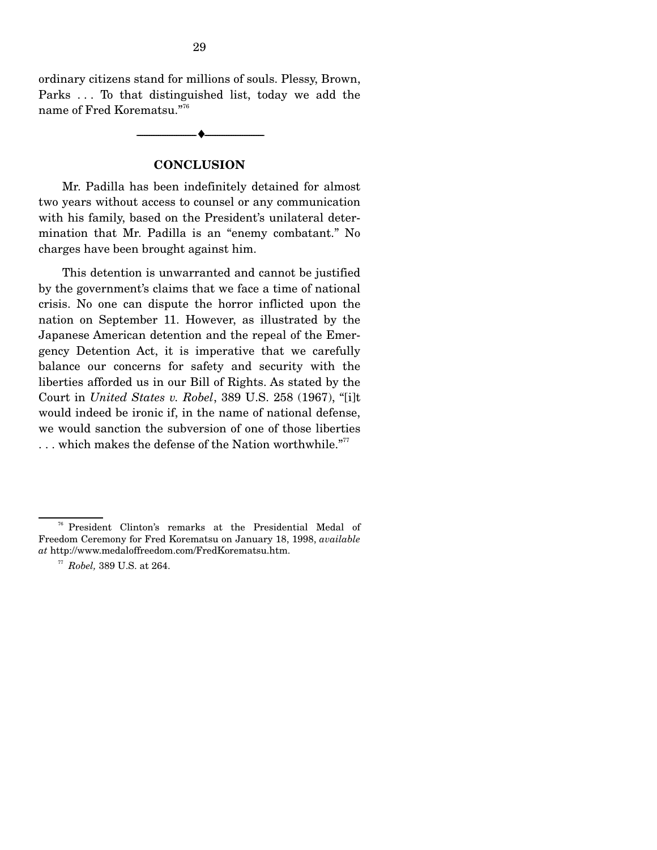ordinary citizens stand for millions of souls. Plessy, Brown, Parks . . . To that distinguished list, today we add the name of Fred Korematsu."<sup>76</sup>

--------------------------------- ♦ ---------------------------------

#### **CONCLUSION**

 Mr. Padilla has been indefinitely detained for almost two years without access to counsel or any communication with his family, based on the President's unilateral determination that Mr. Padilla is an "enemy combatant." No charges have been brought against him.

 This detention is unwarranted and cannot be justified by the government's claims that we face a time of national crisis. No one can dispute the horror inflicted upon the nation on September 11. However, as illustrated by the Japanese American detention and the repeal of the Emergency Detention Act, it is imperative that we carefully balance our concerns for safety and security with the liberties afforded us in our Bill of Rights. As stated by the Court in *United States v. Robel*, 389 U.S. 258 (1967), "[i]t would indeed be ironic if, in the name of national defense, we would sanction the subversion of one of those liberties  $\ldots$  which makes the defense of the Nation worthwhile."<sup>77</sup>

76 President Clinton's remarks at the Presidential Medal of Freedom Ceremony for Fred Korematsu on January 18, 1998, *available at* http://www.medaloffreedom.com/FredKorematsu.htm.

<sup>77</sup> *Robel,* 389 U.S. at 264.